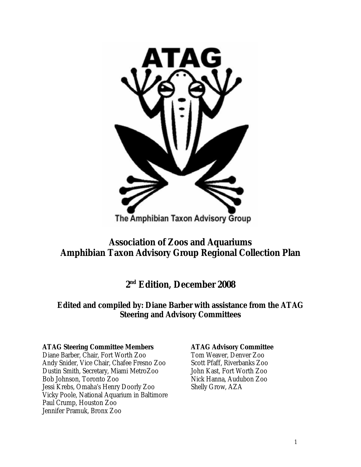

# **Association of Zoos and Aquariums Amphibian Taxon Advisory Group Regional Collection Plan**

# **2nd Edition, December 2008**

# **Edited and compiled by: Diane Barber with assistance from the ATAG Steering and Advisory Committees**

### **ATAG Steering Committee Members**

Diane Barber, Chair, Fort Worth Zoo Andy Snider, Vice Chair, Chafee Fresno Zoo Dustin Smith, Secretary, Miami MetroZoo Bob Johnson, Toronto Zoo Jessi Krebs, Omaha's Henry Doorly Zoo Vicky Poole, National Aquarium in Baltimore Paul Crump, Houston Zoo Jennifer Pramuk, Bronx Zoo

# **ATAG Advisory Committee**

Tom Weaver, Denver Zoo Scott Pfaff, Riverbanks Zoo John Kast, Fort Worth Zoo Nick Hanna, Audubon Zoo Shelly Grow, AZA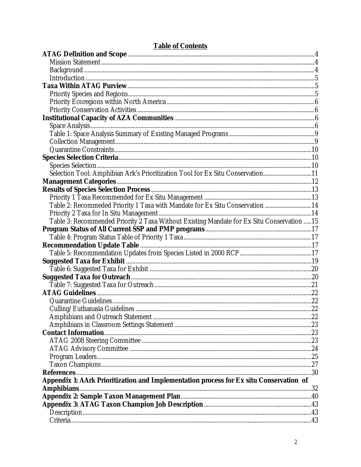| Selection Tool: Amphibian Ark's Prioritization Tool for Ex Situ Conservation11             |  |
|--------------------------------------------------------------------------------------------|--|
|                                                                                            |  |
|                                                                                            |  |
|                                                                                            |  |
| Table 2: Recommeded Priority 1 Taxa with Mandate for Ex Situ Conservation 14               |  |
|                                                                                            |  |
| Table 3: Recommended Priority 2 Taxa Without Existing Mandate for Ex Situ Conservation  15 |  |
|                                                                                            |  |
|                                                                                            |  |
|                                                                                            |  |
|                                                                                            |  |
|                                                                                            |  |
|                                                                                            |  |
|                                                                                            |  |
|                                                                                            |  |
|                                                                                            |  |
|                                                                                            |  |
|                                                                                            |  |
|                                                                                            |  |
|                                                                                            |  |
| <b>Contact Information</b>                                                                 |  |
|                                                                                            |  |
|                                                                                            |  |
|                                                                                            |  |
|                                                                                            |  |
|                                                                                            |  |
| Appendix 1: AArk Prioritization and Implementation process for Ex situ Conservation of     |  |
|                                                                                            |  |
|                                                                                            |  |
|                                                                                            |  |
|                                                                                            |  |
|                                                                                            |  |

# **Table of Contents**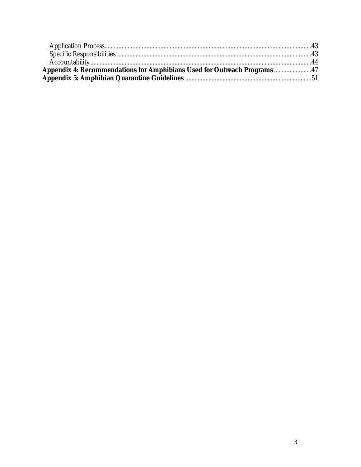| Appendix 4: Recommendations for Amphibians Used for Outreach Programs 47 |  |
|--------------------------------------------------------------------------|--|
|                                                                          |  |
|                                                                          |  |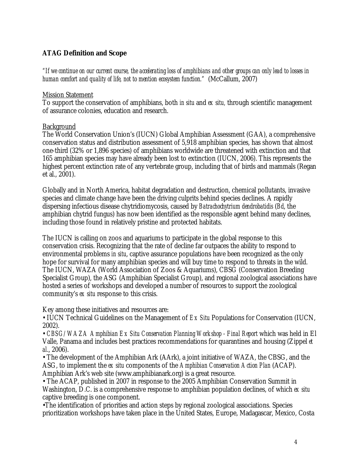# <span id="page-3-0"></span>**ATAG Definition and Scope**

*"If we continue on our current course, the accelerating loss of amphibians and other groups can only lead to losses in human comfort and quality of life, not to mention ecosystem function."* (McCallum, 2007)

### Mission Statement

To support the conservation of amphibians, both *in situ* and *ex situ,* through scientific management of assurance colonies, education and research.

### **Background**

The World Conservation Union's (IUCN) Global Amphibian Assessment (GAA), a comprehensive conservation status and distribution assessment of 5,918 amphibian species, has shown that almost one-third (32% or 1,896 species) of amphibians worldwide are threatened with extinction and that 165 amphibian species may have already been lost to extinction (IUCN, 2006). This represents the highest percent extinction rate of any vertebrate group, including that of birds and mammals (Regan et al., 2001).

Globally and in North America, habitat degradation and destruction, chemical pollutants, invasive species and climate change have been the driving culprits behind species declines. A rapidly dispersing infectious disease chytridiomycosis, caused by *Batrachochytrium dendrobatidis* (*Bd*, the amphibian chytrid fungus) has now been identified as the responsible agent behind many declines, including those found in relatively pristine and protected habitats.

The IUCN is calling on zoos and aquariums to participate in the global response to this conservation crisis. Recognizing that the rate of decline far outpaces the ability to respond to environmental problems *in situ*, captive assurance populations have been recognized as the only hope for survival for many amphibian species and will buy time to respond to threats in the wild. The IUCN, WAZA (World Association of Zoos & Aquariums), CBSG (Conservation Breeding Specialist Group), the ASG (Amphibian Specialist Group), and regional zoological associations have hosted a series of workshops and developed a number of resources to support the zoological community's *ex situ* response to this crisis.

Key among these initiatives and resources are:

• IUCN Technical Guidelines on the Management of *Ex Situ* Populations for Conservation (IUCN, 2002).

• *CBSG/WAZA Amphibian Ex Situ Conservation Planning Workshop - Final Report* which was held in El Valle, Panama and includes best practices recommendations for quarantines and housing (Zippel *et al*., 2006).

• The development of the Amphibian Ark (AArk), a joint initiative of WAZA, the CBSG, and the ASG, to implement the *ex situ* components of the *Amphibian Conservation Action Plan* (ACAP). Amphibian Ark's web site (www.amphibianark.org) is a great resource.

• The ACAP, published in 2007 in response to the 2005 Amphibian Conservation Summit in Washington, D.C. is a comprehensive response to amphibian population declines, of which *ex situ*  captive breeding is one component.

•The identification of priorities and action steps by regional zoological associations. Species prioritization workshops have taken place in the United States, Europe, Madagascar, Mexico, Costa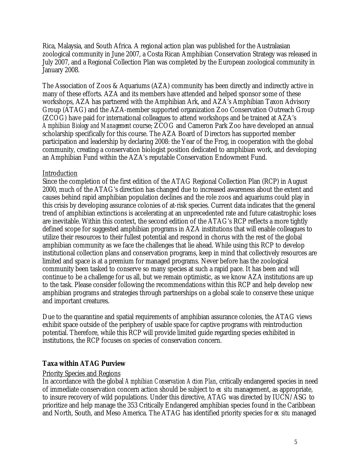<span id="page-4-0"></span>Rica, Malaysia, and South Africa. A regional action plan was published for the Australasian zoological community in June 2007, a Costa Rican Amphibian Conservation Strategy was released in July 2007, and a Regional Collection Plan was completed by the European zoological community in January 2008.

The Association of Zoos & Aquariums (AZA) community has been directly and indirectly active in many of these efforts. AZA and its members have attended and helped sponsor some of these workshops, AZA has partnered with the Amphibian Ark, and AZA's Amphibian Taxon Advisory Group (ATAG) and the AZA-member supported organization Zoo Conservation Outreach Group (ZCOG) have paid for international colleagues to attend workshops and be trained at AZA's *Amphibian Biology and Management* course; ZCOG and Cameron Park Zoo have developed an annual scholarship specifically for this course. The AZA Board of Directors has supported member participation and leadership by declaring 2008: the Year of the Frog, in cooperation with the global community, creating a conservation biologist position dedicated to amphibian work, and developing an Amphibian Fund within the AZA's reputable Conservation Endowment Fund.

### Introduction

Since the completion of the first edition of the ATAG Regional Collection Plan (RCP) in August 2000, much of the ATAG's direction has changed due to increased awareness about the extent and causes behind rapid amphibian population declines and the role zoos and aquariums could play in this crisis by developing assurance colonies of at-risk species. Current data indicates that the general trend of amphibian extinctions is accelerating at an unprecedented rate and future catastrophic loses are inevitable. Within this context, the second edition of the ATAG's RCP reflects a more tightly defined scope for suggested amphibian programs in AZA institutions that will enable colleagues to utilize their resources to their fullest potential and respond in chorus with the rest of the global amphibian community as we face the challenges that lie ahead. While using this RCP to develop institutional collection plans and conservation programs, keep in mind that collectively resources are limited and space is at a premium for managed programs. Never before has the zoological community been tasked to conserve so many species at such a rapid pace. It has been and will continue to be a challenge for us all, but we remain optimistic, as we know AZA institutions are up to the task. Please consider following the recommendations within this RCP and help develop new amphibian programs and strategies through partnerships on a global scale to conserve these unique and important creatures.

Due to the quarantine and spatial requirements of amphibian assurance colonies, the ATAG views exhibit space outside of the periphery of usable space for captive programs with reintroduction potential. Therefore, while this RCP will provide limited guide regarding species exhibited in institutions, the RCP focuses on species of conservation concern.

### **Taxa within ATAG Purview**

### Priority Species and Regions

In accordance with the global *Amphibian Conservation Action Plan*, critically endangered species in need of immediate conservation concern action should be subject to *ex situ* management, as appropriate, to insure recovery of wild populations. Under this directive, ATAG was directed by IUCN/ASG to prioritize and help manage the 353 Critically Endangered amphibian species found in the Caribbean and North, South, and Meso America. The ATAG has identified priority species for *ex situ* managed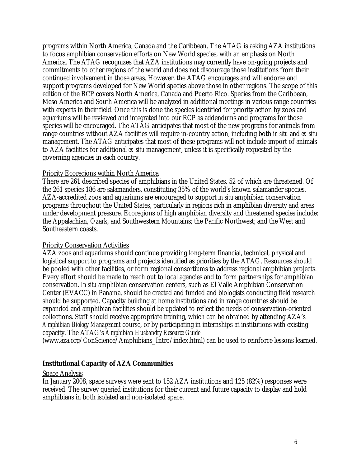<span id="page-5-0"></span>programs within North America, Canada and the Caribbean. The ATAG is asking AZA institutions to focus amphibian conservation efforts on New World species, with an emphasis on North America. The ATAG recognizes that AZA institutions may currently have on-going projects and commitments to other regions of the world and does not discourage those institutions from their continued involvement in those areas. However, the ATAG encourages and will endorse and support programs developed for New World species above those in other regions. The scope of this edition of the RCP covers North America, Canada and Puerto Rico. Species from the Caribbean, Meso America and South America will be analyzed in additional meetings in various range countries with experts in their field. Once this is done the species identified for priority action by zoos and aquariums will be reviewed and integrated into our RCP as addendums and programs for those species will be encouraged. The ATAG anticipates that most of the new programs for animals from range countries without AZA facilities will require in-country action, including both *in situ* and *ex situ*  management. The ATAG anticipates that most of these programs will not include import of animals to AZA facilities for additional *ex situ* management, unless it is specifically requested by the governing agencies in each country.

### Priority Ecoregions within North America

There are 261 described species of amphibians in the United States, 52 of which are threatened. Of the 261 species 186 are salamanders, constituting 35% of the world's known salamander species. AZA-accredited zoos and aquariums are encouraged to support *in situ* amphibian conservation programs throughout the United States, particularly in regions rich in amphibian diversity and areas under development pressure. Ecoregions of high amphibian diversity and threatened species include: the Appalachian, Ozark, and Southwestern Mountains; the Pacific Northwest; and the West and Southeastern coasts.

### Priority Conservation Activities

AZA zoos and aquariums should continue providing long-term financial, technical, physical and logistical support to programs and projects identified as priorities by the ATAG. Resources should be pooled with other facilities, or form regional consortiums to address regional amphibian projects. Every effort should be made to reach out to local agencies and to form partnerships for amphibian conservation. *In situ* amphibian conservation centers, such as El Valle Amphibian Conservation Center (EVACC) in Panama, should be created and funded and biologists conducting field research should be supported. Capacity building at home institutions and in range countries should be expanded and amphibian facilities should be updated to reflect the needs of conservation-oriented collections. Staff should receive appropriate training, which can be obtained by attending AZA's *Amphibian Biology Management* course, or by participating in internships at institutions with existing capacity. The ATAG's *Amphibian Husbandry Resource Guide*

[\(www.aza.org/ConScience/Amphibians\\_Intro/index.html\)](http://www.aza.org/ConScience/Amphibians_Intro/index.html) can be used to reinforce lessons learned.

# **Institutional Capacity of AZA Communities**

### Space Analysis

In January 2008, space surveys were sent to 152 AZA institutions and 125 (82%) responses were received. The survey queried institutions for their current and future capacity to display and hold amphibians in both isolated and non-isolated space.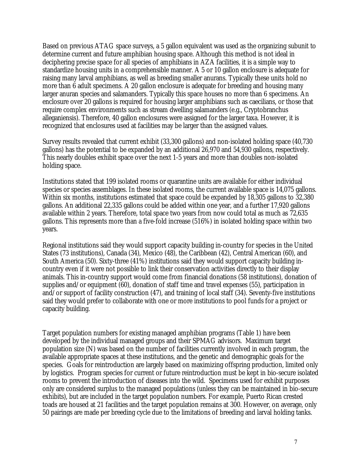Based on previous ATAG space surveys, a 5 gallon equivalent was used as the organizing subunit to determine current and future amphibian housing space. Although this method is not ideal in deciphering precise space for all species of amphibians in AZA facilities, it is a simple way to standardize housing units in a comprehensible manner. A 5 or 10 gallon enclosure is adequate for raising many larval amphibians, as well as breeding smaller anurans. Typically these units hold no more than 6 adult specimens. A 20 gallon enclosure is adequate for breeding and housing many larger anuran species and salamanders. Typically this space houses no more than 6 specimens. An enclosure over 20 gallons is required for housing larger amphibians such as caecilians, or those that require complex environments such as stream dwelling salamanders (e.g., Cryptobranchus alleganiensis). Therefore, 40 gallon enclosures were assigned for the larger taxa. However, it is recognized that enclosures used at facilities may be larger than the assigned values.

Survey results revealed that current exhibit (33,300 gallons) and non-isolated holding space (40,730 gallons) has the potential to be expanded by an additional 26,970 and 54,930 gallons, respectively. This nearly doubles exhibit space over the next 1-5 years and more than doubles non-isolated holding space.

Institutions stated that 199 isolated rooms or quarantine units are available for either individual species or species assemblages. In these isolated rooms, the current available space is 14,075 gallons. Within six months, institutions estimated that space could be expanded by 18,305 gallons to 32,380 gallons. An additional 22,335 gallons could be added within one year, and a further 17,920 gallons available within 2 years. Therefore, total space two years from now could total as much as 72,635 gallons. This represents more than a five-fold increase (516%) in isolated holding space within two years.

Regional institutions said they would support capacity building in-country for species in the United States (73 institutions), Canada (34), Mexico (48), the Caribbean (42), Central American (60), and South America (50). Sixty-three (41%) institutions said they would support capacity building incountry even if it were not possible to link their conservation activities directly to their display animals. This in-country support would come from financial donations (58 institutions), donation of supplies and/or equipment (60), donation of staff time and travel expenses (55), participation in and/or support of facility construction (47), and training of local staff (34). Seventy-five institutions said they would prefer to collaborate with one or more institutions to pool funds for a project or capacity building.

Target population numbers for existing managed amphibian programs (Table 1) have been developed by the individual managed groups and their SPMAG advisors. Maximum target population size (N) was based on the number of facilities currently involved in each program, the available appropriate spaces at these institutions, and the genetic and demographic goals for the species. Goals for reintroduction are largely based on maximizing offspring production, limited only by logistics. Program species for current or future reintroduction must be kept in bio-secure isolated rooms to prevent the introduction of diseases into the wild. Specimens used for exhibit purposes only are considered surplus to the managed populations (unless they can be maintained in bio-secure exhibits), but are included in the target population numbers. For example, Puerto Rican crested toads are housed at 21 facilities and the target population remains at 300. However, on average, only 50 pairings are made per breeding cycle due to the limitations of breeding and larval holding tanks.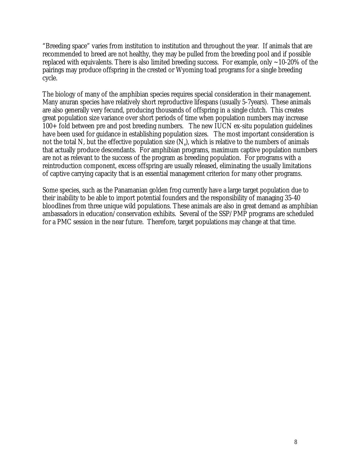"Breeding space" varies from institution to institution and throughout the year. If animals that are recommended to breed are not healthy, they may be pulled from the breeding pool and if possible replaced with equivalents. There is also limited breeding success. For example, only  $\sim$ 10-20% of the pairings may produce offspring in the crested or Wyoming toad programs for a single breeding cycle.

The biology of many of the amphibian species requires special consideration in their management. Many anuran species have relatively short reproductive lifespans (usually 5-7years). These animals are also generally very fecund, producing thousands of offspring in a single clutch. This creates great population size variance over short periods of time when population numbers may increase 100+ fold between pre and post breeding numbers. The new IUCN ex-situ population guidelines have been used for guidance in establishing population sizes. The most important consideration is not the total N, but the effective population size  $(N<sub>e</sub>)$ , which is relative to the numbers of animals that actually produce descendants. For amphibian programs, maximum captive population numbers are not as relevant to the success of the program as breeding population. For programs with a reintroduction component, excess offspring are usually released, eliminating the usually limitations of captive carrying capacity that is an essential management criterion for many other programs.

Some species, such as the Panamanian golden frog currently have a large target population due to their inability to be able to import potential founders and the responsibility of managing 35-40 bloodlines from three unique wild populations. These animals are also in great demand as amphibian ambassadors in education/conservation exhibits. Several of the SSP/PMP programs are scheduled for a PMC session in the near future. Therefore, target populations may change at that time.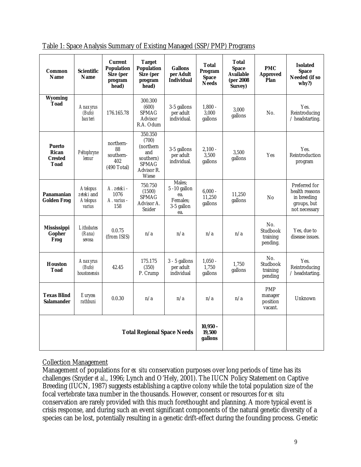| Common<br><b>Name</b>                                   | Scientific<br><b>Name</b>                                         | <b>Current</b><br><b>Population</b><br>Size (per<br>program<br>head) | <b>Target</b><br><b>Population</b><br>Size (per<br>program<br>head)                      | <b>Gallons</b><br>per Adult<br><b>Individual</b>                  | <b>Total</b><br>Program<br><b>Space</b><br><b>Needs</b> | <b>Total</b><br><b>Space</b><br>Available<br>(per 2008)<br>Survey) | <b>PMC</b><br><b>Approved</b><br>Plan              | <b>Isolated</b><br><b>Space</b><br><b>Needed (if so</b><br>why?)               |
|---------------------------------------------------------|-------------------------------------------------------------------|----------------------------------------------------------------------|------------------------------------------------------------------------------------------|-------------------------------------------------------------------|---------------------------------------------------------|--------------------------------------------------------------------|----------------------------------------------------|--------------------------------------------------------------------------------|
| <b>Wyoming</b><br>Toad                                  | Anaxyrus<br>(Bufo)<br>baxteri                                     | 176.165.78                                                           | 300.300<br>(600)<br><b>SPMAG</b><br>Advisor<br>R.A. Odum                                 | 3-5 gallons<br>per adult<br>individual.                           | $1.800 -$<br>3,000<br>gallons                           | 3,000<br>gallons                                                   | N <sub>0</sub>                                     | Yes.<br>Reintroducing<br>/ headstarting.                                       |
| <b>Puerto</b><br>Rican<br><b>Crested</b><br><b>Toad</b> | Peltophryne<br><i>lemur</i>                                       | northern-<br>88<br>southern-<br>402<br>$(490 \text{ Total})$         | 350.350<br>(700)<br>(northern<br>and<br>southern)<br><b>SPMAG</b><br>Advisor R.<br>Wiese | 3-5 gallons<br>per adult<br>individual.                           | $2,100 -$<br>3,500<br>gallons                           | 3,500<br>gallons                                                   | Yes                                                | Yes.<br>Reintroduction<br>program                                              |
| Panamanian<br><b>Golden Frog</b>                        | <b>Atelopus</b><br><i>zeteki</i> and<br><b>Atelopus</b><br>varius | A. zeteki -<br>1076<br>A. varius -<br>158                            | 750.750<br>(1500)<br><b>SPMAG</b><br>Advisor A.<br>Snider                                | Males:<br>$5 - 10$ gallon<br>ea.<br>Females;<br>3-5 gallon<br>ea. | $6,000 -$<br>11,250<br>gallons                          | 11.250<br>gallons                                                  | $\rm No$                                           | Preferred for<br>health reasons<br>in breeding<br>groups, but<br>not necessary |
| <b>Mississippi</b><br><b>Gopher</b><br>Frog             | Lithobates<br>(Rana)<br>sevosa                                    | 0.0.75<br>(from ISIS)                                                | n/a                                                                                      | n/a                                                               | n/a                                                     | n/a                                                                | N <sub>0</sub><br>Studbook<br>training<br>pending. | Yes. due to<br>disease issues.                                                 |
| <b>Houston</b><br><b>Toad</b>                           | Anaxyrus<br>(Bufo)<br>houstonensis                                | 42.45                                                                | 175.175<br>(350)<br>P. Crump                                                             | $3 - 5$ gallons<br>per adult<br>individual                        | $1,050 -$<br>1.750<br>gallons                           | 1.750<br>gallons                                                   | No.<br>Studbook<br>training<br>pending             | Yes.<br>Reintroducing<br>/ headstarting.                                       |
| <b>Texas Blind</b><br>Salamander                        | Eurycea<br>rathbuni                                               | 0.0.30                                                               | n/a                                                                                      | n/a                                                               | n/a                                                     | n/a                                                                | <b>PMP</b><br>manager<br>position<br>vacant.       | Unknown                                                                        |
| <b>Total Regional Space Needs</b>                       |                                                                   |                                                                      | $10.950 -$<br>19,500<br>gallons                                                          |                                                                   |                                                         |                                                                    |                                                    |                                                                                |

<span id="page-8-0"></span>Table 1: Space Analysis Summary of Existing Managed (SSP/PMP) Programs

# Collection Management

Management of populations for *ex situ* conservation purposes over long periods of time has its challenges (Snyder *et al*., 1996; Lynch and O'Hely, 2001). The IUCN Policy Statement on Captive Breeding (IUCN, 1987) suggests establishing a captive colony while the total population size of the focal vertebrate taxa number in the thousands. However, consent or resources for *ex situ* conservation are rarely provided with this much forethought and planning. A more typical event is crisis response, and during such an event significant components of the natural genetic diversity of a species can be lost, potentially resulting in a genetic drift-effect during the founding process. Genetic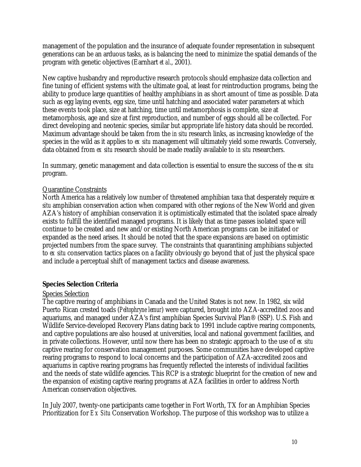<span id="page-9-0"></span>management of the population and the insurance of adequate founder representation in subsequent generations can be an arduous tasks, as is balancing the need to minimize the spatial demands of the program with genetic objectives (Earnhart *et al*., 2001).

New captive husbandry and reproductive research protocols should emphasize data collection and fine tuning of efficient systems with the ultimate goal, at least for reintroduction programs, being the ability to produce large quantities of healthy amphibians in as short amount of time as possible. Data such as egg laying events, egg size, time until hatching and associated water parameters at which these events took place, size at hatching, time until metamorphosis is complete, size at metamorphosis, age and size at first reproduction, and number of eggs should all be collected. For direct developing and neotenic species, similar but appropriate life history data should be recorded. Maximum advantage should be taken from the *in situ* research links, as increasing knowledge of the species in the wild as it applies to *ex situ* management will ultimately yield some rewards. Conversely, data obtained from *ex situ* research should be made readily available to *in situ* researchers.

In summary, genetic management and data collection is essential to ensure the success of the *ex situ* program.

### Quarantine Constraints

North America has a relatively low number of threatened amphibian taxa that desperately require *ex situ* amphibian conservation action when compared with other regions of the New World and given AZA's history of amphibian conservation it is optimistically estimated that the isolated space already exists to fulfill the identified managed programs. It is likely that as time passes isolated space will continue to be created and new and/or existing North American programs can be initiated or expanded as the need arises. It should be noted that the space expansions are based on optimistic projected numbers from the space survey. The constraints that quarantining amphibians subjected to *ex situ* conservation tactics places on a facility obviously go beyond that of just the physical space and include a perceptual shift of management tactics and disease awareness.

# **Species Selection Criteria**

### Species Selection

The captive rearing of amphibians in Canada and the United States is not new. In 1982, six wild Puerto Rican crested toads (*Peltophryne lemur*) were captured, brought into AZA-accredited zoos and aquariums, and managed under AZA's first amphibian Species Survival Plan® (SSP). U.S. Fish and Wildlife Service-developed Recovery Plans dating back to 1991 include captive rearing components, and captive populations are also housed at universities, local and national government facilities, and in private collections. However, until now there has been no strategic approach to the use of *ex situ*  captive rearing for conservation management purposes. Some communities have developed captive rearing programs to respond to local concerns and the participation of AZA-accredited zoos and aquariums in captive rearing programs has frequently reflected the interests of individual facilities and the needs of state wildlife agencies. This RCP is a strategic blueprint for the creation of new and the expansion of existing captive rearing programs at AZA facilities in order to address North American conservation objectives.

In July 2007, twenty-one participants came together in Fort Worth, TX for an Amphibian Species Prioritization for *Ex Situ* Conservation Workshop. The purpose of this workshop was to utilize a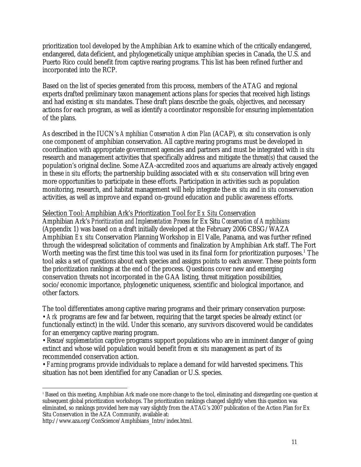<span id="page-10-0"></span>prioritization tool developed by the Amphibian Ark to examine which of the critically endangered, endangered, data deficient, and phylogenetically unique amphibian species in Canada, the U.S. and Puerto Rico could benefit from captive rearing programs. This list has been refined further and incorporated into the RCP.

Based on the list of species generated from this process, members of the ATAG and regional experts drafted preliminary taxon management actions plans for species that received high listings and had existing *ex situ* mandates. These draft plans describe the goals, objectives, and necessary actions for each program, as well as identify a coordinator responsible for ensuring implementation of the plans.

As described in the IUCN's *Amphibian Conservation Action Plan* (ACAP), *ex situ* conservation is only one component of amphibian conservation. All captive rearing programs must be developed in coordination with appropriate government agencies and partners and must be integrated with *in situ*  research and management activities that specifically address and mitigate the threat(s) that caused the population's original decline. Some AZA-accredited zoos and aquariums are already actively engaged in these *in situ* efforts; the partnership building associated with *ex situ* conservation will bring even more opportunities to participate in these efforts. Participation in activities such as population monitoring, research, and habitat management will help integrate the *ex situ* and *in situ* conservation activities, as well as improve and expand on-ground education and public awareness efforts.

### Selection Tool: Amphibian Ark's Prioritization Tool for *Ex Situ* Conservation

Amphibian Ark's *Prioritization and Implementation Process for* Ex Situ *Conservation of Amphibians*  (Appendix 1) was based on a draft initially developed at the February 2006 CBSG/WAZA Amphibian *Ex situ* Conservation Planning Workshop in El Valle, Panama, and was further refined through the widespread solicitation of comments and finalization by Amphibian Ark staff. The Fort Worth meeting was the first time this tool was used in its final form for prioritization purposes.<sup>[1](#page-10-1)</sup> The tool asks a set of questions about each species and assigns points to each answer. These points form the prioritization rankings at the end of the process. Questions cover new and emerging conservation threats not incorporated in the GAA listing, threat mitigation possibilities, socio/economic importance, phylogenetic uniqueness, scientific and biological importance, and other factors.

The tool differentiates among captive rearing programs and their primary conservation purpose: • *Ark* programs are few and far between, requiring that the target species be already extinct (or functionally extinct) in the wild. Under this scenario, any survivors discovered would be candidates for an emergency captive rearing program.

• R*escue/supplementation* captive programs support populations who are in imminent danger of going extinct and whose wild population would benefit from *ex situ* management as part of its recommended conservation action.

• *Farming* programs provide individuals to replace a demand for wild harvested specimens. This situation has not been identified for any Canadian or U.S. species.

<span id="page-10-1"></span><sup>1</sup> <sup>1</sup> Based on this meeting, Amphibian Ark made one more change to the tool, eliminating and disregarding one question at subsequent global prioritization workshops. The prioritization rankings changed slightly when this question was eliminated, so rankings provided here may vary slightly from the ATAG's 2007 publication of the Action Plan for Ex Situ Conservation in the AZA Community, available at:

http://www.aza.org/ConScience/Amphibians\_Intro/index.html.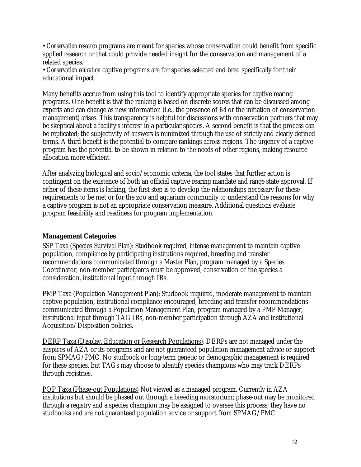<span id="page-11-0"></span>• *Conservation research* programs are meant for species whose conservation could benefit from specific applied research or that could provide needed insight for the conservation and management of a related species.

• *Conservation education* captive programs are for species selected and bred specifically for their educational impact.

Many benefits accrue from using this tool to identify appropriate species for captive rearing programs. One benefit is that the ranking is based on discrete scores that can be discussed among experts and can change as new information (i.e., the presence of *Bd* or the initiation of conservation management) arises. This transparency is helpful for discussions with conservation partners that may be skeptical about a facility's interest in a particular species. A second benefit is that the process can be replicated; the subjectivity of answers is minimized through the use of strictly and clearly defined terms. A third benefit is the potential to compare rankings across regions. The urgency of a captive program has the potential to be shown in relation to the needs of other regions, making resource allocation more efficient.

After analyzing biological and socio/economic criteria, the tool states that further action is contingent on the existence of both an official captive rearing mandate and range state approval. If either of these items is lacking, the first step is to develop the relationships necessary for these requirements to be met or for the zoo and aquarium community to understand the reasons for why a captive program is not an appropriate conservation measure. Additional questions evaluate program feasibility and readiness for program implementation.

# **Management Categories**

SSP Taxa (Species Survival Plan): Studbook required, intense management to maintain captive population, compliance by participating institutions required, breeding and transfer recommendations communicated through a Master Plan, program managed by a Species Coordinator, non-member participants must be approved, conservation of the species a consideration, institutional input through IRs.

PMP Taxa (Population Management Plan): Studbook required, moderate management to maintain captive population, institutional compliance encouraged, breeding and transfer recommendations communicated through a Population Management Plan, program managed by a PMP Manager, institutional input through TAG IRs, non-member participation through AZA and institutional Acquisition/Disposition policies.

DERP Taxa (Display, Education or Research Populations): DERPs are not managed under the auspices of AZA or its programs and are not guaranteed population management advice or support from SPMAG/PMC. No studbook or long-term genetic or demographic management is required for these species, but TAGs may choose to identify species champions who may track DERPs through registries.

POP Taxa (Phase-out Populations) Not viewed as a managed program. Currently in AZA institutions but should be phased out through a breeding moratorium; phase-out may be monitored through a registry and a species champion may be assigned to oversee this process; they have no studbooks and are not guaranteed population advice or support from SPMAG/PMC.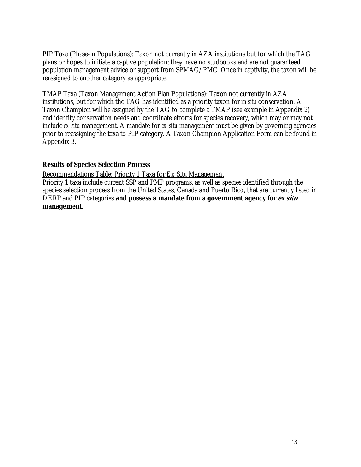<span id="page-12-0"></span>PIP Taxa (Phase-in Populations): Taxon not currently in AZA institutions but for which the TAG plans or hopes to initiate a captive population; they have no studbooks and are not guaranteed population management advice or support from SPMAG/PMC. Once in captivity, the taxon will be reassigned to another category as appropriate.

TMAP Taxa (Taxon Management Action Plan Populations): Taxon not currently in AZA institutions, but for which the TAG has identified as a priority taxon for *in situ* conservation. A Taxon Champion will be assigned by the TAG to complete a TMAP (see example in Appendix 2) and identify conservation needs and coordinate efforts for species recovery, which may or may not include *ex situ* management. A mandate for *ex situ* management must be given by governing agencies prior to reassigning the taxa to PIP category. A Taxon Champion Application Form can be found in Appendix 3.

# **Results of Species Selection Process**

Recommendations Table: Priority 1 Taxa for *Ex Situ* Management

Priority 1 taxa include current SSP and PMP programs, as well as species identified through the species selection process from the United States, Canada and Puerto Rico, that are currently listed in DERP and PIP categories **and possess a mandate from a government agency for ex situ management**.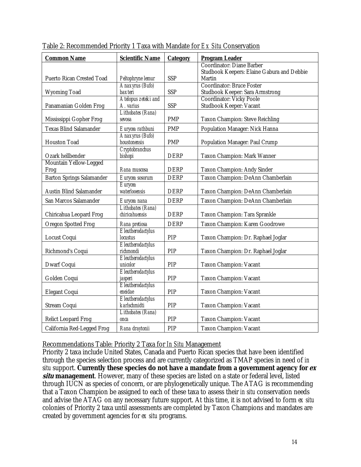| <b>Common Name</b>               | <b>Scientific Name</b>               | <b>Category</b> | <b>Program Leader</b>                               |
|----------------------------------|--------------------------------------|-----------------|-----------------------------------------------------|
|                                  |                                      |                 | Coordinator: Diane Barber                           |
|                                  |                                      |                 | Studbook Keepers: Elaine Gabura and Debbie          |
| Puerto Rican Crested Toad        | Peltophryne lemur                    | <b>SSP</b>      | Martin                                              |
|                                  | Anaxyrus (Bufo)                      |                 | <b>Coordinator: Bruce Foster</b>                    |
| Wyoming Toad                     | baxteri                              | <b>SSP</b>      | Studbook Keeper: Sara Armstrong                     |
|                                  | Atelopus zeteki and<br>A. varius     | SSP             | Coordinator: Vicky Poole<br>Studbook Keeper: Vacant |
| Panamanian Golden Frog           | Lithobates (Rana)                    |                 |                                                     |
| Mississippi Gopher Frog          | sevosa                               | <b>PMP</b>      | Taxon Champion: Steve Reichling                     |
| <b>Texas Blind Salamander</b>    | Eurycea rathbuni                     | <b>PMP</b>      | Population Manager: Nick Hanna                      |
| Houston Toad                     | Anaxyrus (Bufo)<br>houstonensis      | <b>PMP</b>      | Population Manager: Paul Crump                      |
| Ozark hellbender                 | Cryptobranchus<br>bishopi            | <b>DERP</b>     | Taxon Champion: Mark Wanner                         |
| Mountain Yellow-Legged<br>Frog   | Rana muscosa                         | <b>DERP</b>     | Taxon Champion: Andy Sinder                         |
| <b>Barton Springs Salamander</b> | Eurycea sosorum                      | <b>DERP</b>     | Taxon Champion: DeAnn Chamberlain                   |
| <b>Austin Blind Salamander</b>   | Eurycea<br>waterlooensis             | <b>DERP</b>     | Taxon Champion: DeAnn Chamberlain                   |
| San Marcos Salamander            | Eurycea nana                         | <b>DERP</b>     | Taxon Champion: DeAnn Chamberlain                   |
| Chiricahua Leopard Frog          | Lithobates (Rana)<br>chiricahuensis  | <b>DERP</b>     | Taxon Champion: Tara Sprankle                       |
| Oregon Spotted Frog              | Rana pretiosa                        | <b>DERP</b>     | Taxon Champion: Karen Goodrowe                      |
| Locust Coqui                     | Eleutherodactylus<br><b>locustus</b> | PIP             | Taxon Champion: Dr. Raphael Joglar                  |
| Richmond's Coqui                 | Eleutherodactylus<br>richmondi       | PIP             | Taxon Champion: Dr. Raphael Joglar                  |
| Dwarf Coqui                      | Eleutherodactylus<br>unicolor        | PIP             | Taxon Champion: Vacant                              |
| Golden Coqui                     | Eleutherodactylus<br>jasperi         | PIP             | Taxon Champion: Vacant                              |
| Elegant Coqui                    | Eleutherodactylus<br>eneidae         | PIP             | Taxon Champion: Vacant                              |
| Stream Coqui                     | Eleutherodactylus<br>karlschmidti    | PIP             | Taxon Champion: Vacant                              |
| Relict Leopard Frog              | Lithobates (Rana)<br>onca            | PIP             | Taxon Champion: Vacant                              |
| California Red-Legged Frog       | Rana draytonii                       | PIP             | Taxon Champion: Vacant                              |

<span id="page-13-0"></span>Table 2: Recommended Priority 1 Taxa with Mandate for *Ex Situ* Conservation

Recommendations Table: Priority 2 Taxa for *In Situ* Management

Priority 2 taxa include United States, Canada and Puerto Rican species that have been identified through the species selection process and are currently categorized as TMAP species in need of *in situ* support. **Currently these species do not have a mandate from a government agency for ex situ management**. However, many of these species are listed on a state or federal level, listed through IUCN as species of concern, or are phylogenetically unique. The ATAG is recommending that a Taxon Champion be assigned to each of these taxa to assess their *in situ* conservation needs and advise the ATAG on any necessary future support. At this time, it is not advised to form *ex situ* colonies of Priority 2 taxa until assessments are completed by Taxon Champions and mandates are created by government agencies for *ex situ* programs.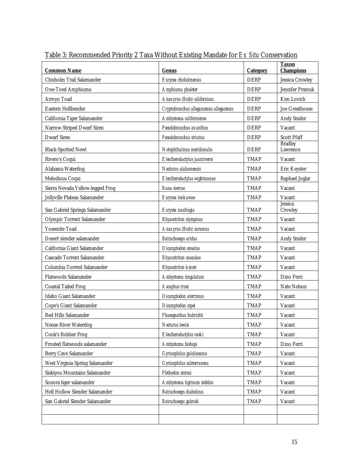| <b>Common Name</b>               | <b>Genus</b>                              | <b>Category</b> | <b>Taxon</b><br><b>Champions</b> |
|----------------------------------|-------------------------------------------|-----------------|----------------------------------|
| Chisholm Trail Salamander        | Eurycea chisholmensis                     | <b>DERP</b>     | Jessica Crowley                  |
| One-Toed Amphiuma                | Amphiuma pholeter                         | <b>DERP</b>     | Jennifer Pramuk                  |
| Arroyo Toad                      | Anaxyrus (Bufo) californicus              | <b>DERP</b>     | Kim Lovich                       |
| Eastern Hellbender               | Cryptobranchus alleganiensis allegaiensis | <b>DERP</b>     | Joe Greathouse                   |
| California Tiger Salamander      | Ambystoma californiense                   | <b>DERP</b>     | Andy Snider                      |
| Narrow-Striped Dwarf Siren       | Pseudobranchus axanthus                   | <b>DERP</b>     | Vacant                           |
| <b>Dwarf Siren</b>               | Pseudobranchus striatus                   | <b>DERP</b>     | <b>Scott Pfaff</b>               |
| <b>Black-Spotted Newt</b>        | Notophthalmus meridionalis                | <b>DERP</b>     | <b>Bradley</b><br>Lawrence       |
| Rivero's Coqui                   | Eleutherodactylus juanriveroi             | <b>TMAP</b>     | Vacant                           |
| Alabama Waterdog                 | Necturus alabamensis                      | <b>TMAP</b>     | Eric Keyster                     |
| Melodious Coqui                  | Eleutherodactylus wightmanae              | <b>TMAP</b>     | Raphael Joglar                   |
| Sierra Nevada Yellow-legged Frog | Rana sierrae                              | <b>TMAP</b>     | Vacant                           |
| Jollyville Plateau Salamander    | Eurycea tonkawae                          | <b>TMAP</b>     | Vacant                           |
| San Gabriel Springs Salamander   | Eurycea naufragia                         | <b>TMAP</b>     | Jessica<br>Crowley               |
| Olympic Torrent Salamander       | Rhyacotriton olympicus                    | <b>TMAP</b>     | Vacant                           |
| Yosemite Toad                    | Anaxyrus (Bufo) carnorus                  | <b>TMAP</b>     | Vacant                           |
| Desert slender salamander        | Batrachoseps aridus                       | <b>TMAP</b>     | Andy Snider                      |
| California Giant Salamander      | Dicamptodon ensatus                       | <b>TMAP</b>     | Vacant                           |
| Cascade Torrent Salamander       | Rhyacotriton cascadae                     | <b>TMAP</b>     | Vacant                           |
| Columbia Torrent Salamander      | Rhyacotriton kezeri                       | <b>TMAP</b>     | Vacant                           |
| Flatwoods Salamander             | Ambystoma cingulatum                      | <b>TMAP</b>     | Dino Ferri                       |
| <b>Coastal Tailed Frog</b>       | Ascaphus truei                            | <b>TMAP</b>     | Nate Nelson                      |
| Idaho Giant Salamander           | Dicamptodon aterrimus                     | <b>TMAP</b>     | Vacant                           |
| Cope's Giant Salamander          | Dicamptodon copei                         | <b>TMAP</b>     | Vacant                           |
| Red Hills Salamander             | Phaeognathus hubrichti                    | <b>TMAP</b>     | Vacant                           |
| Neuse River Waterdog             | Necturus lewisi                           | <b>TMAP</b>     | Vacant                           |
| Cook's Robber Frog               | Eleutherodactylus cooki                   | <b>TMAP</b>     | Vacant                           |
| Frosted flatwoods salamander     | Ambystoma bishopi                         | <b>TMAP</b>     | Dino Ferri                       |
| Berry Cave Salamander            | Gyrinophilus gulolineatus                 | <b>TMAP</b>     | Vacant                           |
| West Virginia Spring Salamander  | Gyrinophilus subterraneus                 | <b>TMAP</b>     | Vacant                           |
| Siskiyou Mountains Salamander    | Plethodon stormi                          | <b>TMAP</b>     | Vacant                           |
| Sonora tiger salamander          | Ambystoma tigrinum stebbin                | <b>TMAP</b>     | Vacant                           |
| Hell Hollow Slender Salamander   | Batrachoseps diabolicus                   | <b>TMAP</b>     | Vacant                           |
| San Gabriel Slender Salamander   | Batrachoseps gabrieli                     | <b>TMAP</b>     | Vacant                           |
|                                  |                                           |                 |                                  |
|                                  |                                           |                 |                                  |

<span id="page-14-0"></span>Table 3: Recommended Priority 2 Taxa Without Existing Mandate for *Ex Situ* Conservation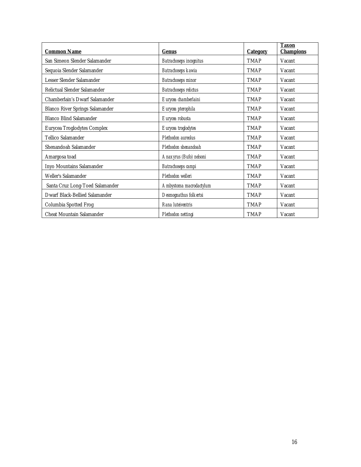| <b>Common Name</b>              | <b>Genus</b>            | <b>Category</b> | <b>Taxon</b><br><b>Champions</b> |
|---------------------------------|-------------------------|-----------------|----------------------------------|
| San Simeon Slender Salamander   | Batrachoseps incognitus | <b>TMAP</b>     | Vacant                           |
| Sequoia Slender Salamander      | Batrachoseps kawia      | <b>TMAP</b>     | Vacant                           |
| Lesser Slender Salamander       | Batrachoseps minor      | <b>TMAP</b>     | Vacant                           |
| Relictual Slender Salamander    | Batrachoseps relictus   | <b>TMAP</b>     | Vacant                           |
| Chamberlain's Dwarf Salamander  | Eurycea chamberlaini    | <b>TMAP</b>     | Vacant                           |
| Blanco River Springs Salamander | Eurycea pterophila      | <b>TMAP</b>     | Vacant                           |
| <b>Blanco Blind Salamander</b>  | Eurycea robusta         | <b>TMAP</b>     | Vacant                           |
| Eurycea Troglodytes Complex     | Eurycea troglodytes     | <b>TMAP</b>     | Vacant                           |
| Tellico Salamander              | Plethodon aureolus      | <b>TMAP</b>     | Vacant                           |
| Shenandoah Salamander           | Plethodon shenandoah    | <b>TMAP</b>     | Vacant                           |
| Amargosa toad                   | Anaxyrus (Bufo) nelsoni | <b>TMAP</b>     | Vacant                           |
| Inyo Mountains Salamander       | Batrachoseps campi      | <b>TMAP</b>     | Vacant                           |
| Weller's Salamander             | Plethodon welleri       | <b>TMAP</b>     | Vacant                           |
| Santa Cruz Long-Toed Salamander | Ambystoma macrodactylum | <b>TMAP</b>     | Vacant                           |
| Dwarf Black-Bellied Salamander  | Desmognathus folkertsi  | <b>TMAP</b>     | Vacant                           |
| Columbia Spotted Frog           | Rana luteiventris       | <b>TMAP</b>     | Vacant                           |
| Cheat Mountain Salamander       | Plethodon nettingi      | <b>TMAP</b>     | Vacant                           |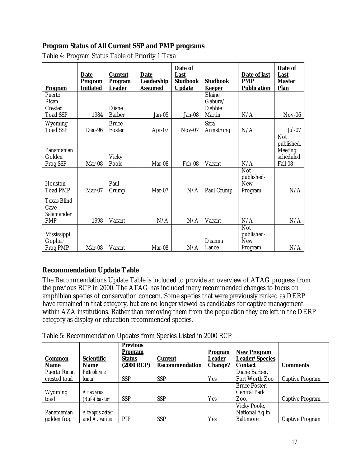# <span id="page-16-0"></span>**Program Status of All Current SSP and PMP programs**

| <u>Program</u>                                         | <b>Date</b><br><b>Program</b><br><b>Initiated</b> | <b>Current</b><br>Program<br><b>Leader</b> | <b>Date</b><br><b>Leadership</b><br><b>Assumed</b> | Date of<br>Last<br><b>Studbook</b><br><u>Update</u> | <b>Studbook</b><br><u>Keeper</u> | Date of last<br><b>PMP</b><br><b>Publication</b>  | Date of<br>Last<br><b>Master</b><br><b>Plan</b>      |
|--------------------------------------------------------|---------------------------------------------------|--------------------------------------------|----------------------------------------------------|-----------------------------------------------------|----------------------------------|---------------------------------------------------|------------------------------------------------------|
| Puerto<br>Rican                                        |                                                   |                                            |                                                    |                                                     | Elaine<br>Gabura/                |                                                   |                                                      |
| Crested<br><b>Toad SSP</b>                             | 1984                                              | Diane<br><b>Barber</b>                     | $Jan-05$                                           | Jan-08                                              | Debbie<br><b>Martin</b>          | N/A                                               | $Nov-06$                                             |
| Wyoming<br><b>Toad SSP</b>                             | Dec-96                                            | <b>Bruce</b><br>Foster                     | Apr-07                                             | $Nov-07$                                            | Sara<br>Armstrong                | N/A                                               | Jul-07                                               |
| Panamanian<br>Golden<br>Frog SSP                       | Mar-08                                            | Vicky<br>Poole                             | Mar-08                                             | Feb-08                                              | Vacant                           | N/A                                               | Not<br>published.<br>Meeting<br>scheduled<br>Fall 08 |
| Houston<br><b>Toad PMP</b>                             | Mar-07                                            | Paul<br>Crump                              | Mar-07                                             | N/A                                                 | Paul Crump                       | <b>Not</b><br>published-<br><b>New</b><br>Program | N/A                                                  |
| <b>Texas Blind</b><br>Cave<br>Salamander<br><b>PMP</b> | 1998                                              | Vacant                                     | N/A                                                | N/A                                                 | Vacant                           | N/A                                               | N/A                                                  |
| Mississippi<br>Gopher<br>Frog PMP                      | Mar-08                                            | Vacant                                     | Mar-08                                             | N/A                                                 | Deanna<br>Lance                  | Not<br>published-<br><b>New</b><br>Program        | N/A                                                  |

Table 4: Program Status Table of Priority 1 Taxa

# **Recommendation Update Table**

The Recommendations Update Table is included to provide an overview of ATAG progress from the previous RCP in 2000. The ATAG has included many recommended changes to focus on amphibian species of conservation concern. Some species that were previously ranked as DERP have remained in that category, but are no longer viewed as candidates for captive management within AZA institutions. Rather than removing them from the population they are left in the DERP category as display or education recommended species.

Table 5: Recommendation Updates from Species Listed in 2000 RCP

|               |                   | <b>Previous</b><br><b>Program</b> |                       | <b>Program</b> | <b>New Program</b>    |                 |
|---------------|-------------------|-----------------------------------|-----------------------|----------------|-----------------------|-----------------|
| <b>Common</b> | <b>Scientific</b> | <b>Status</b>                     | <b>Current</b>        | Leader         | <b>Leader/Species</b> |                 |
| <b>Name</b>   | Name              | $(2000 \text{ RCP})$              | <b>Recommendation</b> | <b>Change?</b> | <b>Contact</b>        | <b>Comments</b> |
| Puerto Rican  | Peltophryne       |                                   |                       |                | Diane Barber,         |                 |
| crested toad  | lemur             | <b>SSP</b>                        | <b>SSP</b>            | Yes            | Fort Worth Zoo        | Captive Program |
|               |                   |                                   |                       |                | Bruce Foster,         |                 |
| Wyoming       | Anaxyrus          |                                   |                       |                | <b>Central Park</b>   |                 |
| toad          | (Bufo) baxteri    | <b>SSP</b>                        | <b>SSP</b>            | Yes            | Zoo.                  | Captive Program |
|               |                   |                                   |                       |                | Vicky Poole,          |                 |
| Panamanian    | Atelopus zeteki   |                                   |                       |                | National Aq in        |                 |
| golden frog   | and A. varius     | <b>PIP</b>                        | <b>SSP</b>            | Yes            | Baltimore             | Captive Program |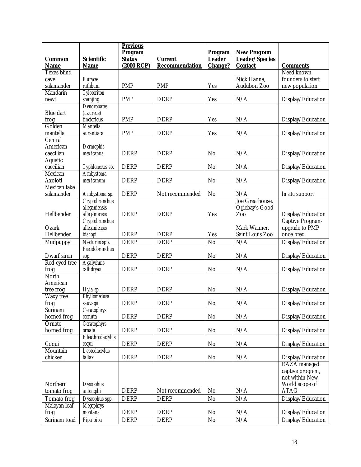|                              |                                  | <b>Previous</b><br>Program    |                                         | Program                         | <b>New Program</b>               |                               |
|------------------------------|----------------------------------|-------------------------------|-----------------------------------------|---------------------------------|----------------------------------|-------------------------------|
| <b>Common</b><br><b>Name</b> | <b>Scientific</b><br><b>Name</b> | <b>Status</b><br>$(2000$ RCP) | <b>Current</b><br><b>Recommendation</b> | <b>Leader</b><br><b>Change?</b> | Leader/Species<br><b>Contact</b> | <b>Comments</b>               |
| Texas blind                  |                                  |                               |                                         |                                 |                                  | Need known                    |
| cave                         | Eurycea                          |                               |                                         |                                 | Nick Hanna,                      | founders to start             |
| salamander                   | rathbuni                         | <b>PMP</b>                    | <b>PMP</b>                              | Yes                             | Audubon Zoo                      | new population                |
| Mandarin                     | Tylotoriton                      |                               |                                         |                                 |                                  |                               |
| newt                         | shanjing                         | <b>PMP</b>                    | <b>DERP</b>                             | Yes                             | N/A                              | Display/Education             |
|                              | Dendrobates                      |                               |                                         |                                 |                                  |                               |
| Blue dart<br>frog            | (azureus)<br>tinctorious         | <b>PMP</b>                    | <b>DERP</b>                             | Yes                             | N/A                              | Display/Education             |
| Golden                       | Mantella                         |                               |                                         |                                 |                                  |                               |
| mantella                     | aurantiaca                       | <b>PMP</b>                    | <b>DERP</b>                             | Yes                             | N/A                              | Display/Education             |
| Central                      |                                  |                               |                                         |                                 |                                  |                               |
| American                     | Dermophis                        |                               |                                         |                                 |                                  |                               |
| caecilian                    | mexicanus                        | <b>DERP</b>                   | <b>DERP</b>                             | N <sub>0</sub>                  | N/A                              | Display/Education             |
| Aquatic                      |                                  |                               |                                         |                                 |                                  |                               |
| caecilian                    | Typhlonectes sp.                 | <b>DERP</b>                   | <b>DERP</b>                             | N <sub>0</sub>                  | N/A                              | Display/Education             |
| Mexican                      | Ambystoma                        |                               |                                         |                                 |                                  |                               |
| Axolotl<br>Mexican lake      | mexicanum                        | <b>DERP</b>                   | <b>DERP</b>                             | N <sub>0</sub>                  | N/A                              | Display/Education             |
| salamander                   | Ambystoma sp.                    | <b>DERP</b>                   | Not recommended                         | No                              | N/A                              | In situ support               |
|                              | Cryptobranchus                   |                               |                                         |                                 | Joe Greathouse,                  |                               |
|                              | alleganiensis                    |                               |                                         |                                 | Oglebay's Good                   |                               |
| Hellbender                   | alleganiensis                    | <b>DERP</b>                   | <b>DERP</b>                             | Yes                             | Z <sub>00</sub>                  | Display/Education             |
|                              | Cryptobranchus                   |                               |                                         |                                 |                                  | Captive Program-              |
| Ozark                        | alleganiensis                    |                               |                                         |                                 | Mark Wanner,                     | upgrade to PMP                |
| Hellbender                   | bishopi                          | <b>DERP</b>                   | <b>DERP</b>                             | Yes                             | Saint Louis Zoo                  | once bred                     |
| Mudpuppy                     | Necturus spp.                    | <b>DERP</b>                   | <b>DERP</b>                             | No                              | N/A                              | Display/Education             |
|                              | Pseudobranchus                   |                               |                                         |                                 |                                  |                               |
| Dwarf siren<br>Red-eyed tree | spp.<br><b>Agalychnis</b>        | <b>DERP</b>                   | <b>DERP</b>                             | N <sub>o</sub>                  | N/A                              | Display/Education             |
| frog                         | callidryas                       | <b>DERP</b>                   | <b>DERP</b>                             | N <sub>o</sub>                  | N/A                              | Display/Education             |
| North                        |                                  |                               |                                         |                                 |                                  |                               |
| American                     |                                  |                               |                                         |                                 |                                  |                               |
| tree frog                    | Hyla sp.                         | <b>DERP</b>                   | <b>DERP</b>                             | N <sub>o</sub>                  | N/A                              | Display/Education             |
| Waxy tree                    | Phyllomedusa                     |                               |                                         |                                 |                                  |                               |
| frog                         | sauvagii                         | <b>DERP</b>                   | <b>DERP</b>                             | N <sub>0</sub>                  | N/A                              | Display/Education             |
| Surinam                      | Ceratophrys                      |                               |                                         |                                 |                                  |                               |
| horned frog<br>Ornate        | cornuta                          | <b>DERP</b>                   | <b>DERP</b>                             | N <sub>0</sub>                  | N/A                              | Display/Education             |
| horned frog                  | Ceratophyrs<br>ornata            | <b>DERP</b>                   | <b>DERP</b>                             | N <sub>0</sub>                  | N/A                              | Display/Education             |
|                              | Eleuthrodactylus                 |                               |                                         |                                 |                                  |                               |
| Coqui                        | coqui                            | <b>DERP</b>                   | <b>DERP</b>                             | N <sub>0</sub>                  | N/A                              | Display/Education             |
| Mountain                     | Leptodactylus                    |                               |                                         |                                 |                                  |                               |
| chicken                      | fallax                           | <b>DERP</b>                   | <b>DERP</b>                             | N <sub>o</sub>                  | N/A                              | Display/Education             |
|                              |                                  |                               |                                         |                                 |                                  | EAZA managed                  |
|                              |                                  |                               |                                         |                                 |                                  | captive program,              |
|                              |                                  |                               |                                         |                                 |                                  | not within New                |
| Northern<br>tomato frog      | Dyscophus<br>antongilii          | <b>DERP</b>                   | Not recommended                         | N <sub>o</sub>                  | N/A                              | World scope of<br><b>ATAG</b> |
| Tomato frog                  | Dyscophus spp.                   | <b>DERP</b>                   | <b>DERP</b>                             | N <sub>0</sub>                  | N/A                              | Display/Education             |
| Malayan leaf                 | Megophrys                        |                               |                                         |                                 |                                  |                               |
| frog                         | montana                          | <b>DERP</b>                   | <b>DERP</b>                             | N <sub>0</sub>                  | N/A                              | Display/Education             |
| Surinam toad                 | Pipa pipa                        | <b>DERP</b>                   | <b>DERP</b>                             | $\rm No$                        | N/A                              | Display/Education             |
|                              |                                  |                               |                                         |                                 |                                  |                               |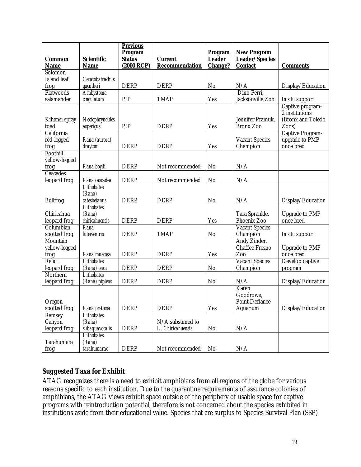<span id="page-18-0"></span>

| <b>Common</b><br><b>Name</b>      | <b>Scientific</b><br><b>Name</b>          | <b>Previous</b><br>Program<br><b>Status</b><br>$(2000 \t RCP)$ | <b>Current</b><br><b>Recommendation</b> | Program<br><b>Leader</b><br><b>Change?</b> | <b>New Program</b><br><b>Leader/Species</b><br><b>Contact</b> | <b>Comments</b>                              |
|-----------------------------------|-------------------------------------------|----------------------------------------------------------------|-----------------------------------------|--------------------------------------------|---------------------------------------------------------------|----------------------------------------------|
| Solomon                           |                                           |                                                                |                                         |                                            |                                                               |                                              |
| Island leaf                       | Ceratobatrachus                           |                                                                |                                         |                                            |                                                               |                                              |
| frog<br>Flatwoods                 | guentheri                                 | <b>DERP</b>                                                    | <b>DERP</b>                             | N <sub>0</sub>                             | N/A<br>Dino Ferri,                                            | Display/Education                            |
| salamander                        | Ambystoma<br>cingulatum                   | PIP                                                            | <b>TMAP</b>                             | Yes                                        | Jacksonville Zoo                                              | In situ support                              |
|                                   |                                           |                                                                |                                         |                                            |                                                               | Captive program-                             |
| Kihansi spray<br>toad             | Nectophrynoides<br>asperigus              | PIP                                                            | <b>DERP</b>                             | Yes                                        | Jennifer Pramuk,<br><b>Bronx Zoo</b>                          | 2 institutions<br>(Bronx and Toledo<br>Zoos) |
| California                        |                                           |                                                                |                                         |                                            |                                                               | Captive Program-                             |
| red-legged                        | Rana (aurora)                             |                                                                |                                         |                                            | <b>Vacant Species</b>                                         | upgrade to PMP                               |
| frog                              | draytoni                                  | <b>DERP</b>                                                    | <b>DERP</b>                             | Yes                                        | Champion                                                      | once bred                                    |
| Foothill                          |                                           |                                                                |                                         |                                            |                                                               |                                              |
| yellow-legged<br>frog             | Rana boylii                               | <b>DERP</b>                                                    | Not recommended                         | N <sub>0</sub>                             | N/A                                                           |                                              |
| Cascades                          |                                           |                                                                |                                         |                                            |                                                               |                                              |
| leopard frog                      | Rana cascadea                             | <b>DERP</b>                                                    | Not recommended                         | N <sub>0</sub>                             | N/A                                                           |                                              |
|                                   | Lithobates<br>$(R$ ana)                   |                                                                |                                         |                                            |                                                               |                                              |
| <b>Bullfrog</b>                   | catesbeianus                              | <b>DERP</b>                                                    | <b>DERP</b>                             | N <sub>o</sub>                             | N/A                                                           | Display/Education                            |
| Chiricahua<br>leopard frog        | Lithobates<br>$(R$ ana)<br>chiricahuensis | <b>DERP</b>                                                    | <b>DERP</b>                             | Yes                                        | Tara Sprankle,<br>Phoenix Zoo                                 | Upgrade to PMP<br>once bred                  |
| Columbian                         | Rana                                      |                                                                |                                         |                                            | <b>Vacant Species</b>                                         |                                              |
| spotted frog                      | luteiventris                              | <b>DERP</b>                                                    | <b>TMAP</b>                             | N <sub>0</sub>                             | Champion                                                      | In situ support                              |
| Mountain<br>yellow-legged<br>frog | Rana muscosa                              | <b>DERP</b>                                                    | <b>DERP</b>                             | Yes                                        | Andy Zinder,<br>Chaffee Fresno<br>Zoo                         | Upgrade to PMP<br>once bred                  |
| Relict                            | Lithobates                                |                                                                |                                         |                                            | <b>Vacant Species</b>                                         | Develop captive                              |
| leopard frog                      | (Rana) onca                               | <b>DERP</b>                                                    | <b>DERP</b>                             | N <sub>0</sub>                             | Champion                                                      | program                                      |
| Northern                          | Lithobates                                |                                                                |                                         |                                            |                                                               |                                              |
| leopard frog                      | (Rana) pipiens                            | <b>DERP</b>                                                    | <b>DERP</b>                             | N <sub>0</sub>                             | N/A<br>Karen                                                  | Display/Education                            |
| Oregon<br>spotted frog            | Rana pretiosa                             | DERP                                                           | <b>DERP</b>                             | Yes                                        | Goodrowe,<br>Point Defiance<br>Aquarium                       | Display/Education                            |
| Ramsey                            | Lithobates                                |                                                                |                                         |                                            |                                                               |                                              |
| Canyon                            | $(R$ ana)                                 |                                                                | N/A subsumed to                         |                                            |                                                               |                                              |
| leopard frog                      | subaquavocalis                            | <b>DERP</b>                                                    | L. Chiricahuensis                       | No                                         | N/A                                                           |                                              |
| Tarahumara<br>frog                | Lithobates<br>(Rana)<br>tarahumarae       | <b>DERP</b>                                                    | Not recommended                         | N <sub>o</sub>                             | N/A                                                           |                                              |

# **Suggested Taxa for Exhibit**

ATAG recognizes there is a need to exhibit amphibians from all regions of the globe for various reasons specific to each institution. Due to the quarantine requirements of assurance colonies of amphibians, the ATAG views exhibit space outside of the periphery of usable space for captive programs with reintroduction potential, therefore is not concerned about the species exhibited in institutions aside from their educational value. Species that are surplus to Species Survival Plan (SSP)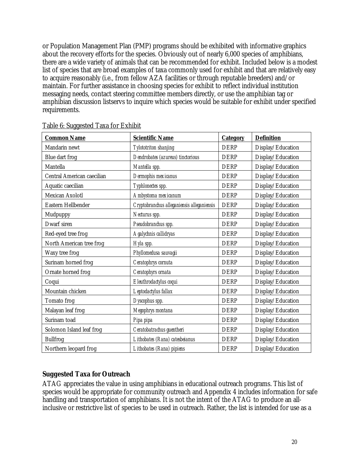<span id="page-19-0"></span>or Population Management Plan (PMP) programs should be exhibited with informative graphics about the recovery efforts for the species. Obviously out of nearly 6,000 species of amphibians, there are a wide variety of animals that can be recommended for exhibit. Included below is a modest list of species that are broad examples of taxa commonly used for exhibit and that are relatively easy to acquire reasonably (i.e., from fellow AZA facilities or through reputable breeders) and/or maintain. For further assistance in choosing species for exhibit to reflect individual institution messaging needs, contact steering committee members directly, or use the amphibian tag or amphibian discussion listservs to inquire which species would be suitable for exhibit under specified requirements.

| <b>Common Name</b>         | <b>Scientific Name</b>                     | <b>Category</b> | <b>Definition</b> |
|----------------------------|--------------------------------------------|-----------------|-------------------|
| Mandarin newt              | Tylototriton shanjing                      | <b>DERP</b>     | Display/Education |
| Blue dart frog             | Dendrobates (azureus) tinctorious          | <b>DERP</b>     | Display/Education |
| Mantella                   | Mantella spp.                              | <b>DERP</b>     | Display/Education |
| Central American caecilian | Dermophis mexicanus                        | <b>DERP</b>     | Display/Education |
| Aquatic caecilian          | Typhlonectes spp.                          | <b>DERP</b>     | Display/Education |
| Mexican Axolotl            | Ambystoma mexicanum                        | <b>DERP</b>     | Display/Education |
| Eastern Hellbender         | Cryptobranchus alleganiensis alleganiensis | <b>DERP</b>     | Display/Education |
| Mudpuppy                   | Necturus spp.                              | <b>DERP</b>     | Display/Education |
| Dwarf siren                | Pseudobranchus spp.                        | <b>DERP</b>     | Display/Education |
| Red-eyed tree frog         | Agalychnis callidryas                      | <b>DERP</b>     | Display/Education |
| North American tree frog   | Hyla spp.                                  | <b>DERP</b>     | Display/Education |
| Waxy tree frog             | Phyllomedusa sauvagii                      | <b>DERP</b>     | Display/Education |
| Surinam horned frog        | Ceratophrys cornuta                        | <b>DERP</b>     | Display/Education |
| Ornate horned frog         | Ceratophyrs ornata                         | <b>DERP</b>     | Display/Education |
| Coqui                      | Eleuthrodactylus coqui                     | <b>DERP</b>     | Display/Education |
| Mountain chicken           | Leptodactylus fallax                       | <b>DERP</b>     | Display/Education |
| Tomato frog                | Dyscophus spp.                             | <b>DERP</b>     | Display/Education |
| Malayan leaf frog          | Megophrys montana                          | <b>DERP</b>     | Display/Education |
| Surinam toad               | Pipa pipa                                  | <b>DERP</b>     | Display/Education |
| Solomon Island leaf frog   | Ceratobatrachus guentheri                  | <b>DERP</b>     | Display/Education |
| Bullfrog                   | Lithobates (Rana) catesbeianus             | <b>DERP</b>     | Display/Education |
| Northern leopard frog      | Lithobates (Rana) pipiens                  | <b>DERP</b>     | Display/Education |

|  |  |  | Table 6: Suggested Taxa for Exhibit |
|--|--|--|-------------------------------------|
|  |  |  |                                     |

# **Suggested Taxa for Outreach**

ATAG appreciates the value in using amphibians in educational outreach programs. This list of species would be appropriate for community outreach and Appendix 4 includes information for safe handling and transportation of amphibians. It is not the intent of the ATAG to produce an allinclusive or restrictive list of species to be used in outreach. Rather, the list is intended for use as a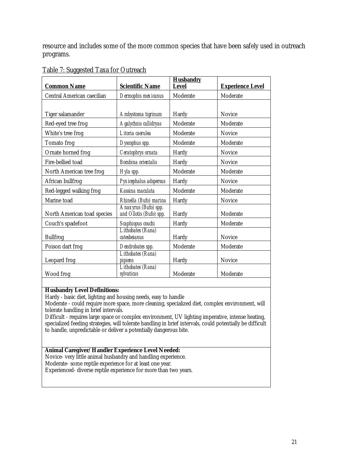<span id="page-20-0"></span>resource and includes some of the more common species that have been safely used in outreach programs.

| <b>Common Name</b>          | <b>Scientific Name</b>                          | <b>Husbandry</b><br><b>Level</b> | <b>Experience Level</b> |
|-----------------------------|-------------------------------------------------|----------------------------------|-------------------------|
| Central American caecilian  | Dermophis mexicanus                             | Moderate                         | Moderate                |
|                             |                                                 |                                  |                         |
| Tiger salamander            | Ambystoma tigrinum                              | Hardy                            | <b>Novice</b>           |
| Red-eyed tree frog          | Agalychnis callidryas                           | Moderate                         | Moderate                |
| White's tree frog           | Litoria caerulea                                | Moderate                         | Novice                  |
| Tomato frog                 | Dyscophus spp.                                  | Moderate                         | Moderate                |
| Ornate horned frog          | Ceratophrys ornata                              | Hardy                            | Novice                  |
| Fire-bellied toad           | Bombina orientalis                              | Hardy                            | Novice                  |
| North American tree frog    | Hyla spp.                                       | Moderate                         | Moderate                |
| African bullfrog            | Pyxicephalus adspersus                          | Hardy                            | <b>Novice</b>           |
| Red-legged walking frog     | Kassina maculata                                | Moderate                         | Moderate                |
| Marine toad                 | Rhinella (Bufo) marina                          | Hardy                            | Novice                  |
| North American toad species | Anaxyrus (Bufo) spp.<br>and Ollotis (Bufo) spp. | Hardy                            | Moderate                |
| Couch's spadefoot           | Scaphiopus couchi                               | Hardy                            | Moderate                |
| <b>Bullfrog</b>             | Lithobates (Rana)<br>catesbeianus               | Hardy                            | <b>Novice</b>           |
| Poison dart frog            | Dendrobates spp.                                | Moderate                         | Moderate                |
| Leopard frog                | Lithobates (Rana)<br>pipiens                    | Hardy                            | Novice                  |
| Wood frog                   | Lithobates (Rana)<br>sylvaticus                 | Moderate                         | Moderate                |

# Table 7: Suggested Taxa for Outreach

#### **Husbandry Level Definitions:**

Hardy - basic diet, lighting and housing needs, easy to handle

Moderate - could require more space, more cleaning, specialized diet, complex environment, will tolerate handling in brief intervals.

Difficult - requires large space or complex environment, UV lighting imperative, intense heating, specialized feeding strategies, will tolerate handling in brief intervals, could potentially be difficult to handle, unpredictable or deliver a potentially dangerous bite.

**Animal Caregiver/Handler Experience Level Needed:**  Novice- very little animal husbandry and handling experience. Moderate- some reptile experience for at least one year. Experienced- diverse reptile experience for more than two years.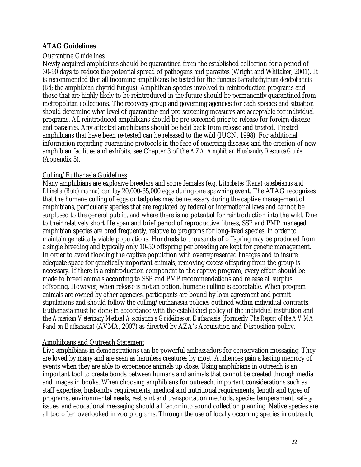# <span id="page-21-0"></span>**ATAG Guidelines**

### Quarantine Guidelines

Newly acquired amphibians should be quarantined from the established collection for a period of 30-90 days to reduce the potential spread of pathogens and parasites (Wright and Whitaker, 2001). It is recommended that all incoming amphibians be tested for the fungus *Batrachochytrium dendrobatidis* (*Bd*; the amphibian chytrid fungus). Amphibian species involved in reintroduction programs and those that are highly likely to be reintroduced in the future should be permanently quarantined from metropolitan collections. The recovery group and governing agencies for each species and situation should determine what level of quarantine and pre-screening measures are acceptable for individual programs. All reintroduced amphibians should be pre-screened prior to release for foreign disease and parasites. Any affected amphibians should be held back from release and treated. Treated amphibians that have been re-tested can be released to the wild (IUCN, 1998). For additional information regarding quarantine protocols in the face of emerging diseases and the creation of new amphibian facilities and exhibits, see Chapter 3 of the *AZA Amphibian Husbandry Resource Guide* (Appendix 5).

### Culling/Euthanasia Guidelines

Many amphibians are explosive breeders and some females (e.g. *Lithobates* (*Rana) catesbeianus and Rhinella (Bufo) marina)* can lay 20,000-35,000 eggs during one spawning event. The ATAG recognizes that the humane culling of eggs or tadpoles may be necessary during the captive management of amphibians, particularly species that are regulated by federal or international laws and cannot be surplused to the general public, and where there is no potential for reintroduction into the wild. Due to their relatively short life span and brief period of reproductive fitness, SSP and PMP managed amphibian species are bred frequently, relative to programs for long-lived species, in order to maintain genetically viable populations. Hundreds to thousands of offspring may be produced from a single breeding and typically only 10-50 offspring per breeding are kept for genetic management. In order to avoid flooding the captive population with overrepresented lineages and to insure adequate space for genetically important animals, removing excess offspring from the group is necessary. If there is a reintroduction component to the captive program, every effort should be made to breed animals according to SSP and PMP recommendations and release all surplus offspring. However, when release is not an option, humane culling is acceptable. When program animals are owned by other agencies, participants are bound by loan agreement and permit stipulations and should follow the culling/euthanasia policies outlined within individual contracts. Euthanasia must be done in accordance with the established policy of the individual institution and the *American Veterinary Medical Association's Guidelines on Euthanasia (*formerly *The Report of the AVMA Panel on Euthanasia)* (AVMA, 2007) as directed by AZA's Acquisition and Disposition policy.

### Amphibians and Outreach Statement

Live amphibians in demonstrations can be powerful ambassadors for conservation messaging. They are loved by many and are seen as harmless creatures by most. Audiences gain a lasting memory of events when they are able to experience animals up close. Using amphibians in outreach is an important tool to create bonds between humans and animals that cannot be created through media and images in books. When choosing amphibians for outreach, important considerations such as staff expertise, husbandry requirements, medical and nutritional requirements, length and types of programs, environmental needs, restraint and transportation methods, species temperament, safety issues, and educational messaging should all factor into sound collection planning. Native species are all too often overlooked in zoo programs. Through the use of locally occurring species in outreach,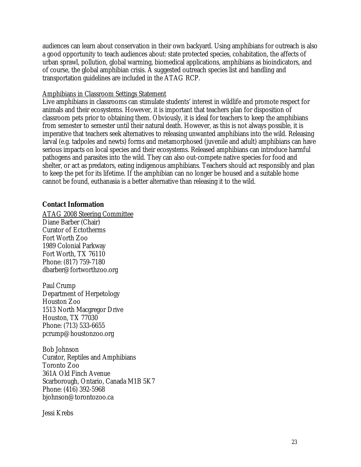<span id="page-22-0"></span>audiences can learn about conservation in their own backyard. Using amphibians for outreach is also a good opportunity to teach audiences about: state protected species, cohabitation, the affects of urban sprawl, pollution, global warming, biomedical applications, amphibians as bioindicators, and of course, the global amphibian crisis. A suggested outreach species list and handling and transportation guidelines are included in the ATAG RCP.

#### Amphibians in Classroom Settings Statement

Live amphibians in classrooms can stimulate students' interest in wildlife and promote respect for animals and their ecosystems. However, it is important that teachers plan for disposition of classroom pets prior to obtaining them. Obviously, it is ideal for teachers to keep the amphibians from semester to semester until their natural death. However, as this is not always possible, it is imperative that teachers seek alternatives to releasing unwanted amphibians into the wild. Releasing larval (e.g. tadpoles and newts) forms and metamorphosed (juvenile and adult) amphibians can have serious impacts on local species and their ecosystems. Released amphibians can introduce harmful pathogens and parasites into the wild. They can also out-compete native species for food and shelter, or act as predators, eating indigenous amphibians. Teachers should act responsibly and plan to keep the pet for its lifetime. If the amphibian can no longer be housed and a suitable home cannot be found, euthanasia is a better alternative than releasing it to the wild.

### **Contact Information**

ATAG 2008 Steering Committee Diane Barber (Chair) Curator of Ectotherms Fort Worth Zoo 1989 Colonial Parkway Fort Worth, TX 76110 Phone: (817) 759-7180 dbarber@fortworthzoo.org

Paul Crump Department of Herpetology Houston Zoo 1513 North Macgregor Drive Houston, TX 77030 Phone: (713) 533-6655 pcrump@houstonzoo.org

Bob Johnson Curator, Reptiles and Amphibians Toronto Zoo 361A Old Finch Avenue Scarborough, Ontario, Canada M1B 5K7 Phone: (416) 392-5968 bjohnson@torontozoo.ca

Jessi Krebs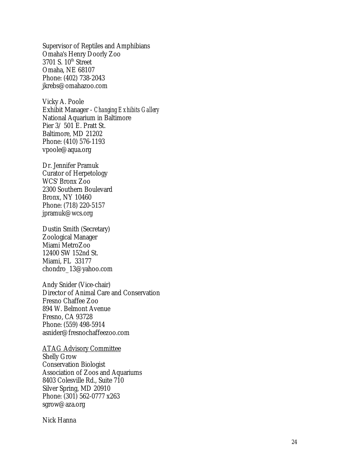<span id="page-23-0"></span>Supervisor of Reptiles and Amphibians Omaha's Henry Doorly Zoo 3701 S. 10<sup>th</sup> Street Omaha, NE 68107 Phone: (402) 738-2043 jkrebs@omahazoo.com

Vicky A. Poole Exhibit Manager - *Changing Exhibits Gallery* National Aquarium in Baltimore Pier 3/ 501 E. Pratt St. Baltimore, MD 21202 Phone: (410) 576-1193 vpoole@aqua.org

Dr. Jennifer Pramuk Curator of Herpetology WCS' Bronx Zoo 2300 Southern Boulevard Bronx, NY 10460 Phone: (718) 220-5157 jpramuk@wcs.org

Dustin Smith (Secretary) Zoological Manager Miami MetroZoo 12400 SW 152nd St. Miami, FL 33177 chondro\_13@yahoo.com

Andy Snider (Vice-chair) Director of Animal Care and Conservation Fresno Chaffee Zoo 894 W. Belmont Avenue Fresno, CA 93728 Phone: (559) 498-5914 asnider@fresnochaffeezoo.com

ATAG Advisory Committee Shelly Grow Conservation Biologist Association of Zoos and Aquariums 8403 Colesville Rd., Suite 710 Silver Spring, MD 20910 Phone: (301) 562-0777 x263 sgrow@aza.org

Nick Hanna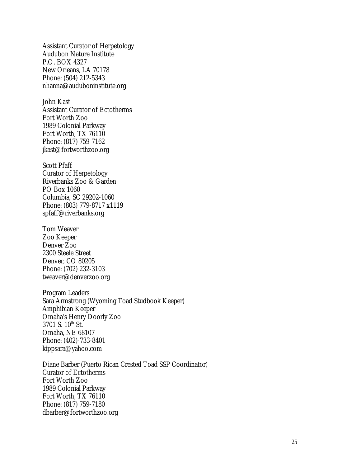<span id="page-24-0"></span>Assistant Curator of Herpetology Audubon Nature Institute P.O. BOX 4327 New Orleans, LA 70178 Phone: (504) 212-5343 nhanna@auduboninstitute.org

John Kast Assistant Curator of Ectotherms Fort Worth Zoo 1989 Colonial Parkway Fort Worth, TX 76110 Phone: (817) 759-7162 jkast@fortworthzoo.org

Scott Pfaff Curator of Herpetology Riverbanks Zoo & Garden PO Box 1060 Columbia, SC 29202-1060 Phone: (803) 779-8717 x1119 spfaff@riverbanks.org

Tom Weaver Zoo Keeper Denver Zoo 2300 Steele Street Denver, CO 80205 Phone: (702) 232-3103 tweaver@denverzoo.org

Program Leaders Sara Armstrong (Wyoming Toad Studbook Keeper) Amphibian Keeper Omaha's Henry Doorly Zoo  $3701$  S.  $10^{th}$  St. Omaha, NE 68107 Phone: (402)-733-8401 kippsara@yahoo.com

Diane Barber (Puerto Rican Crested Toad SSP Coordinator) Curator of Ectotherms Fort Worth Zoo 1989 Colonial Parkway Fort Worth, TX 76110 Phone: (817) 759-7180 dbarber@fortworthzoo.org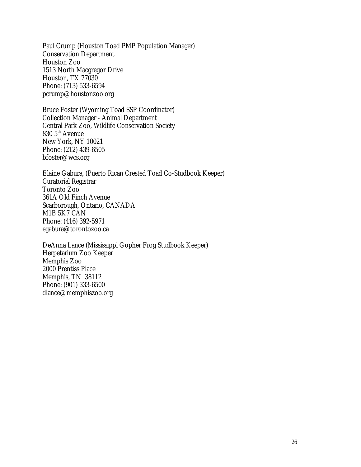Paul Crump (Houston Toad PMP Population Manager) Conservation Department Houston Zoo 1513 North Macgregor Drive Houston, TX 77030 Phone: (713) 533-6594 pcrump@houstonzoo.org

Bruce Foster (Wyoming Toad SSP Coordinator) Collection Manager - Animal Department Central Park Zoo, Wildlife Conservation Society 830 5<sup>th</sup> Avenue New York, NY 10021 Phone: (212) 439-6505 [bfoster@wcs.org](mailto:bfoster@wcs.org)

Elaine Gabura, (Puerto Rican Crested Toad Co-Studbook Keeper) Curatorial Registrar Toronto Zoo 361A Old Finch Avenue Scarborough, Ontario, CANADA M1B 5K7 CAN Phone: (416) 392-5971 egabura@torontozoo.ca

DeAnna Lance (Mississippi Gopher Frog Studbook Keeper) Herpetarium Zoo Keeper Memphis Zoo 2000 Prentiss Place Memphis, TN 38112 Phone: (901) 333-6500 dlance@memphiszoo.org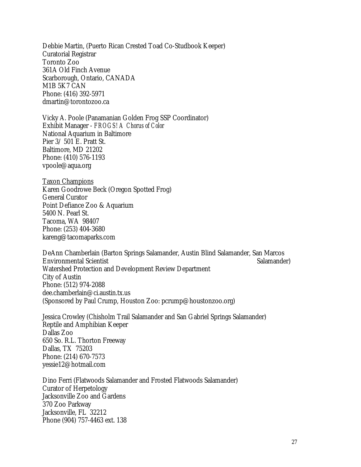<span id="page-26-0"></span>Debbie Martin, (Puerto Rican Crested Toad Co-Studbook Keeper) Curatorial Registrar Toronto Zoo 361A Old Finch Avenue Scarborough, Ontario, CANADA M1B 5K7 CAN Phone: (416) 392-5971 dmartin@torontozoo.ca

Vicky A. Poole (Panamanian Golden Frog SSP Coordinator) Exhibit Manager - *FROGS! A Chorus of Color* National Aquarium in Baltimore Pier 3/ 501 E. Pratt St. Baltimore, MD 21202 Phone: (410) 576-1193 [vpoole@aqua.org](mailto:vpoole@aqua.org)

Taxon Champions Karen Goodrowe Beck (Oregon Spotted Frog) General Curator Point Defiance Zoo & Aquarium 5400 N. Pearl St. Tacoma, WA 98407 Phone: (253) 404-3680 kareng@tacomaparks.com

DeAnn Chamberlain (Barton Springs Salamander, Austin Blind Salamander, San Marcos Environmental Scientist Salamander) Salamander) Watershed Protection and Development Review Department City of Austin Phone: (512) 974-2088 dee.chamberlain@ci.austin.tx.us (Sponsored by Paul Crump, Houston Zoo: pcrump@houstonzoo.org)

Jessica Crowley (Chisholm Trail Salamander and San Gabriel Springs Salamander) Reptile and Amphibian Keeper Dallas Zoo 650 So. R.L. Thorton Freeway Dallas, TX 75203 Phone: (214) 670-7573 [yessie12@hotmail.com](mailto:yessie12@hotmail.com)

Dino Ferri (Flatwoods Salamander and Frosted Flatwoods Salamander) Curator of Herpetology Jacksonville Zoo and Gardens 370 Zoo Parkway Jacksonville, FL 32212 Phone (904) 757-4463 ext. 138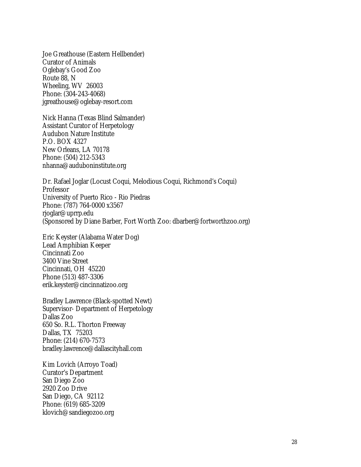Joe Greathouse (Eastern Hellbender) Curator of Animals Oglebay's Good Zoo Route 88, N Wheeling, WV 26003 Phone: (304-243-4068) jgreathouse@oglebay-resort.com

Nick Hanna (Texas Blind Salmander) Assistant Curator of Herpetology Audubon Nature Institute P.O. BOX 4327 New Orleans, LA 70178 Phone: (504) 212-5343 nhanna@auduboninstitute.org

Dr. Rafael Joglar (Locust Coqui, Melodious Coqui, Richmond's Coqui) Professor University of Puerto Rico - Rio Piedras Phone: (787) 764-0000 x3567 [rjoglar@uprrp.edu](mailto:rjoglar@uprrp.edu) (Sponsored by Diane Barber, Fort Worth Zoo: [dbarber@fortworthzoo.org](mailto:dbarber@fortworthzoo.org))

Eric Keyster (Alabama Water Dog) Lead Amphibian Keeper Cincinnati Zoo 3400 Vine Street Cincinnati, OH 45220 Phone (513) 487-3306 [erik.keyster@cincinnatizoo.org](mailto:erik.keyster@cincinnatizoo.org)

Bradley Lawrence (Black-spotted Newt) Supervisor- Department of Herpetology Dallas Zoo 650 So. R.L. Thorton Freeway Dallas, TX 75203 Phone: (214) 670-7573 bradley.lawrence@dallascityhall.com

Kim Lovich (Arroyo Toad) Curator's Department San Diego Zoo 2920 Zoo Drive San Diego, CA 92112 Phone: (619) 685-3209 klovich@sandiegozoo.org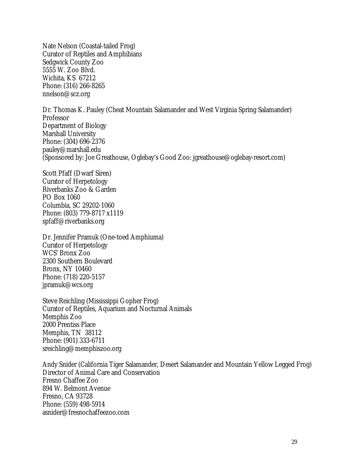Nate Nelson (Coastal-tailed Frog) Curator of Reptiles and Amphibians Sedgwick County Zoo 5555 W. Zoo Blvd. Wichita, KS 67212 Phone: (316) 266-8265 [nnelson@scz.org](mailto:nnelson@scz.org)

Dr. Thomas K. Pauley (Cheat Mountain Salamander and West Virginia Spring Salamander) Professor Department of Biology Marshall University Phone: (304) 696-2376 [pauley@marshall.edu](mailto:pauley@marshall.edu)  (Sponsored by: Joe Greathouse, Oglebay's Good Zoo: jgreathouse@oglebay-resort.com)

Scott Pfaff (Dwarf Siren) Curator of Herpetology Riverbanks Zoo & Garden PO Box 1060 Columbia, SC 29202-1060 Phone: (803) 779-8717 x1119 spfaff@riverbanks.org

Dr. Jennifer Pramuk (One-toed Amphiuma) Curator of Herpetology WCS' Bronx Zoo 2300 Southern Boulevard Bronx, NY 10460 Phone: (718) 220-5157 jpramuk@wcs.org

Steve Reichling (Mississippi Gopher Frog) Curator of Reptiles, Aquarium and Nocturnal Animals Memphis Zoo 2000 Prentiss Place Memphis, TN 38112 Phone: (901) 333-6711 sreichling@memphiszoo.org

Andy Snider (California Tiger Salamander, Desert Salamander and Mountain Yellow Legged Frog) Director of Animal Care and Conservation Fresno Chaffee Zoo 894 W. Belmont Avenue Fresno, CA 93728 Phone: (559) 498-5914 asnider@fresnochaffeezoo.com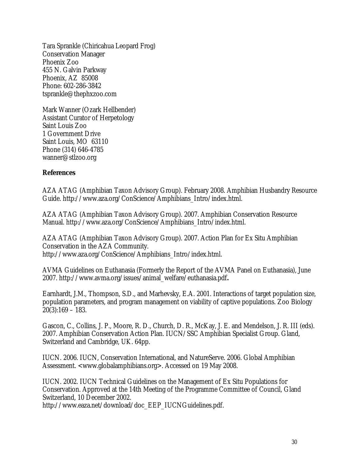<span id="page-29-0"></span>Tara Sprankle (Chiricahua Leopard Frog) Conservation Manager Phoenix Zoo 455 N. Galvin Parkway Phoenix, AZ 85008 Phone: 602-286-3842 [tsprankle@thephxzoo.com](mailto:Pswanson@thephxzoo.com)

Mark Wanner (Ozark Hellbender) Assistant Curator of Herpetology Saint Louis Zoo 1 Government Drive Saint Louis, MO 63110 Phone (314) 646-4785 wanner@stlzoo.org

### **References**

AZA ATAG (Amphibian Taxon Advisory Group). February 2008. Amphibian Husbandry Resource Guide. [http://www.aza.org/ConScience/Amphibians\\_Intro/index.html.](http://www.aza.org/ConScience/Amphibians_Intro/index.html)

AZA ATAG (Amphibian Taxon Advisory Group). 2007. Amphibian Conservation Resource Manual. [http://www.aza.org/ConScience/Amphibians\\_Intro/index.html](http://www.aza.org/ConScience/Amphibians_Intro/index.html).

AZA ATAG (Amphibian Taxon Advisory Group). 2007. Action Plan for Ex Situ Amphibian Conservation in the AZA Community. [http://www.aza.org/ConScience/Amphibians\\_Intro/index.html](http://www.aza.org/ConScience/Amphibians_Intro/index.html).

AVMA Guidelines on Euthanasia (Formerly the Report of the AVMA Panel on Euthanasia), June 2007. [http://www.avma.org/issues/animal\\_welfare/euthanasia.pdf](http://www.avma.org/issues/animal_welfare/euthanasia.pdf)**.** 

Earnhardt, J.M., Thompson, S.D., and Marhevsky, E.A. 2001. Interactions of target population size, population parameters, and program management on viability of captive populations. Zoo Biology  $20(3):169 - 183.$ 

Gascon, C., Collins, J. P., Moore, R. D., Church, D. R., McKay, J. E. and Mendelson, J. R. III (eds). 2007. Amphibian Conservation Action Plan. IUCN/SSC Amphibian Specialist Group. Gland, Switzerland and Cambridge, UK. 64pp.

IUCN. 2006. IUCN, Conservation International, and NatureServe. 2006. Global Amphibian Assessment. <www.globalamphibians.org>. Accessed on 19 May 2008.

IUCN. 2002. IUCN Technical Guidelines on the Management of Ex Situ Populations for Conservation. Approved at the 14th Meeting of the Programme Committee of Council, Gland Switzerland, 10 December 2002.

[http://www.eaza.net/download/doc\\_EEP\\_IUCNGuidelines.pdf](http://www.eaza.net/download/doc_EEP_IUCNGuidelines.pdf).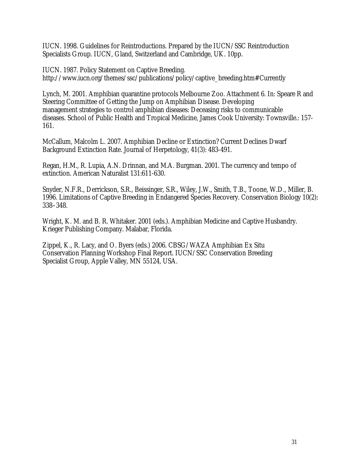IUCN. 1998. Guidelines for Reintroductions. Prepared by the IUCN/SSC Reintroduction Specialists Group. IUCN, Gland, Switzerland and Cambridge, UK. 10pp.

IUCN. 1987. Policy Statement on Captive Breeding. [http://www.iucn.org/themes/ssc/publications/policy/captive\\_breeding.htm#Currently](http://www.iucn.org/themes/ssc/publications/policy/captive_breeding.htm#Currently)

Lynch, M. 2001. Amphibian quarantine protocols Melbourne Zoo. Attachment 6. In: Speare R and Steering Committee of Getting the Jump on Amphibian Disease. Developing management strategies to control amphibian diseases: Deceasing risks to communicable diseases. School of Public Health and Tropical Medicine, James Cook University: Townsville.: 157- 161.

McCallum, Malcolm L. 2007. Amphibian Decline or Extinction? Current Declines Dwarf Background Extinction Rate. Journal of Herpetology, 41(3): 483-491.

Regan, H.M., R. Lupia, A.N. Drinnan, and M.A. Burgman. 2001. The currency and tempo of extinction. American Naturalist 131:611-630.

Snyder, N.F.R., Derrickson, S.R., Beissinger, S.R., Wiley, J.W., Smith, T.B., Toone, W.D., Miller, B. 1996. Limitations of Captive Breeding in Endangered Species Recovery. Conservation Biology 10(2): 338–348.

Wright, K. M. and B. R. Whitaker. 2001 (eds.). Amphibian Medicine and Captive Husbandry. Krieger Publishing Company. Malabar, Florida.

Zippel, K., R. Lacy, and O. Byers (eds.) 2006. CBSG/WAZA Amphibian Ex Situ Conservation Planning Workshop Final Report. IUCN/SSC Conservation Breeding Specialist Group, Apple Valley, MN 55124, USA.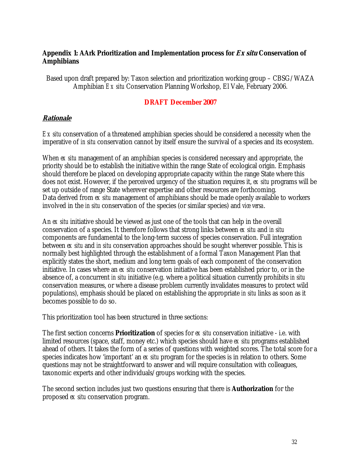### <span id="page-31-0"></span>**Appendix 1: AArk Prioritization and Implementation process for Ex situ Conservation of Amphibians**

Based upon draft prepared by: Taxon selection and prioritization working group – CBSG/WAZA Amphibian *Ex situ* Conservation Planning Workshop, El Vale, February 2006.

# **DRAFT December 2007**

### **Rationale**

*Ex situ* conservation of a threatened amphibian species should be considered a necessity when the imperative of *in situ* conservation cannot by itself ensure the survival of a species and its ecosystem.

When *ex situ* management of an amphibian species is considered necessary and appropriate, the priority should be to establish the initiative within the range State of ecological origin. Emphasis should therefore be placed on developing appropriate capacity within the range State where this does not exist. However, if the perceived urgency of the situation requires it, *ex situ* programs will be set up outside of range State wherever expertise and other resources are forthcoming. Data derived from *ex situ* management of amphibians should be made openly available to workers involved in the *in situ* conservation of the species (or similar species) and *vice versa*.

An *ex situ* initiative should be viewed as just one of the tools that can help in the overall conservation of a species. It therefore follows that strong links between *ex situ* and *in situ*  components are fundamental to the long-term success of species conservation. Full integration between *ex situ* and *in situ* conservation approaches should be sought wherever possible. This is normally best highlighted through the establishment of a formal Taxon Management Plan that explicitly states the short, medium and long term goals of each component of the conservation initiative. In cases where an *ex situ* conservation initiative has been established prior to, or in the absence of, a concurrent *in situ* initiative (e.g. where a political situation currently prohibits *in situ* conservation measures, or where a disease problem currently invalidates measures to protect wild populations), emphasis should be placed on establishing the appropriate *in situ* links as soon as it becomes possible to do so.

This prioritization tool has been structured in three sections:

The first section concerns **Prioritization** of species for *ex situ* conservation initiative - i.e. with limited resources (space, staff, money etc.) which species should have *ex situ* programs established ahead of others. It takes the form of a series of questions with weighted scores. The total score for a species indicates how 'important' an *ex situ* program for the species is in relation to others. Some questions may not be straightforward to answer and will require consultation with colleagues, taxonomic experts and other individuals/groups working with the species.

The second section includes just two questions ensuring that there is **Authorization** for the proposed *ex situ* conservation program.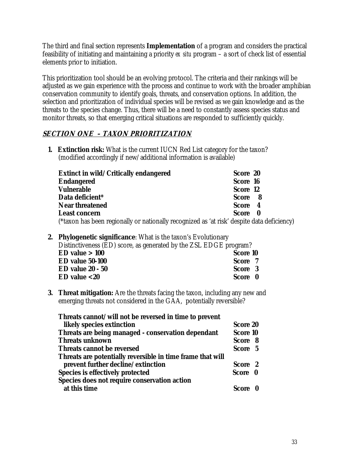The third and final section represents **Implementation** of a program and considers the practical feasibility of initiating and maintaining a priority *ex situ* program – a sort of check list of essential elements prior to initiation.

This prioritization tool should be an evolving protocol. The criteria and their rankings will be adjusted as we gain experience with the process and continue to work with the broader amphibian conservation community to identify goals, threats, and conservation options. In addition, the selection and prioritization of individual species will be revised as we gain knowledge and as the threats to the species change. Thus, there will be a need to constantly assess species status and monitor threats, so that emerging critical situations are responded to sufficiently quickly.

# **SECTION ONE – TAXON PRIORITIZATION**

**1. Extinction risk:** What is the current IUCN Red List category for the taxon? (modified accordingly if new/additional information is available)

| Extinct in wild/Critically endangered                                                                                                                                                                                            | Score 20 |  |
|----------------------------------------------------------------------------------------------------------------------------------------------------------------------------------------------------------------------------------|----------|--|
| Endangered                                                                                                                                                                                                                       | Score 16 |  |
| Vulnerable                                                                                                                                                                                                                       | Score 12 |  |
| Data deficient*                                                                                                                                                                                                                  | Score 8  |  |
| <b>Near threatened</b>                                                                                                                                                                                                           | Score 4  |  |
| <b>Least concern</b>                                                                                                                                                                                                             | Score 0  |  |
| : بالیاب الیاب) الیاب الیاب الیاب الیاب الیاب الیاب الیاب الیاب الیاب الیاب الیاب الیاب الیاب الیاب الیاب الیا<br>الیاب الیاب الیاب الیاب الیاب الیاب الیاب الیاب الیاب الیاب الیاب الیاب الیاب الیاب الیاب الیاب الیاب الیاب ال |          |  |

(\*taxon has been regionally or nationally recognized as 'at risk' despite data deficiency)

**2. Phylogenetic significance**: What is the taxon's Evolutionary

Distinctiveness (ED) score, as generated by the ZSL EDGE program?

| ED value > 100          |  | Score 10 |  |
|-------------------------|--|----------|--|
| ED value 50-100         |  | Score 7  |  |
| <b>ED</b> value 20 - 50 |  | Score 3  |  |
| $ED$ value $<$ 20       |  | Score 0  |  |
|                         |  |          |  |

**3. Threat mitigation:** Are the threats facing the taxon, including any new and emerging threats not considered in the GAA, potentially reversible?

| Score 20        |                               |
|-----------------|-------------------------------|
| <b>Score 10</b> |                               |
| Score 8         |                               |
| Score 5         |                               |
|                 |                               |
|                 |                               |
|                 |                               |
|                 |                               |
|                 |                               |
|                 | Score 2<br>Score 0<br>Score 0 |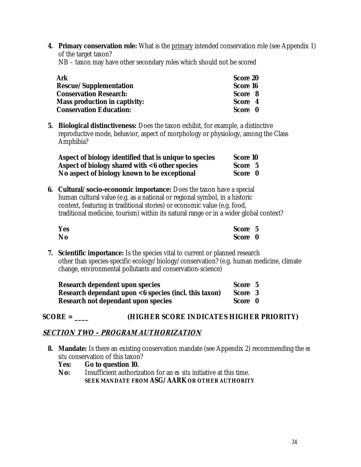**4. Primary conservation role:** What is the primary intended conservation role (see Appendix 1) of the target taxon?

NB – taxon may have other secondary roles which should not be scored

| Ark                                  | Score 20 |
|--------------------------------------|----------|
| <b>Rescue/Supplementation</b>        | Score 16 |
| <b>Conservation Research:</b>        | Score 8  |
| <b>Mass production in captivity:</b> | Score 4  |
| <b>Conservation Education:</b>       | Score 0  |

**5. Biological distinctiveness:** Does the taxon exhibit, for example, a distinctive reproductive mode, behavior, aspect of morphology or physiology, among the Class Amphibia?

| Aspect of biology identified that is unique to species | <b>Score 10</b> |  |
|--------------------------------------------------------|-----------------|--|
| Aspect of biology shared with <6 other species         | Score 5         |  |
| No aspect of biology known to be exceptional           | Score 0         |  |

**6. Cultural/socio-economic importance:** Does the taxon have a special human cultural value (e.g. as a national or regional symbol, in a historic context, featuring in traditional stories) or economic value (e.g. food, traditional medicine, tourism) within its natural range or in a wider global context?

| Yes            | Score 5 |  |
|----------------|---------|--|
| N <sub>0</sub> | Score 0 |  |

 **7. Scientific importance:** Is the species vital to current or planned research other than species-specific ecology/biology/conservation? (e.g. human medicine, climate change, environmental pollutants and conservation-science)

| Research dependent upon species                       | Score 5 |  |
|-------------------------------------------------------|---------|--|
| Research dependant upon <6 species (incl. this taxon) | Score 3 |  |
| Research not dependant upon species                   | Score 0 |  |

# **SCORE = \_\_\_\_ (HIGHER SCORE INDICATES HIGHER PRIORITY)**

# **SECTION TWO – PROGRAM AUTHORIZATION**

**8. Mandate:** Is there an existing conservation mandate (see Appendix 2) recommending the *ex situ* conservation of this taxon?

**Yes: Go to question 10.**

**No:** Insufficient authorization for an *ex situ* initiative at this time. **SEEK MANDATE FROM ASG/AARK OR OTHER AUTHORITY**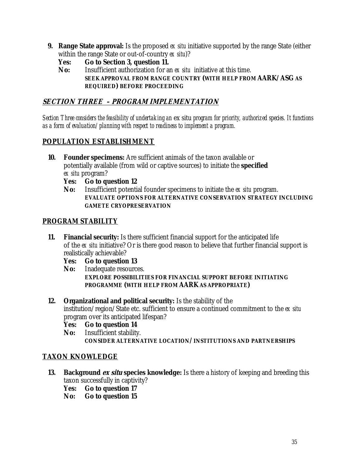- **9. Range State approval:** Is the proposed *ex situ* initiative supported by the range State (either within the range State or out-of-country *ex situ*)?
	- **Yes: Go to Section 3, question 11.**
	- **No:** Insufficient authorization for an *ex situ* initiative at this time. **SEEK APPROVAL FROM RANGE COUNTRY (WITH HELP FROM AARK/ASG AS REQUIRED) BEFORE PROCEEDING**

# **SECTION THREE – PROGRAM IMPLEMENTATION**

*Section Three considers the feasibility of undertaking an* ex situ *program for priority, authorized species. It functions as a form of evaluation/planning with respect to readiness to implement a program.* 

# **POPULATION ESTABLISHMENT**

- **10. Founder specimens:** Are sufficient animals of the taxon available or potentially available (from wild or captive sources) to initiate the **specified** *ex situ* program?
	- **Yes: Go to question 12**
	- **No:** Insufficient potential founder specimens to initiate the *ex situ* program. **EVALUATE OPTIONS FOR ALTERNATIVE CONSERVATION STRATEGY INCLUDING GAMETE CRYOPRESERVATION**

# **PROGRAM STABILITY**

- **11. Financial security:** Is there sufficient financial support for the anticipated life of the *ex situ* initiative? Or is there good reason to believe that further financial support is realistically achievable?
	- **Yes: Go to question 13**
	- **No:** Inadequate resources. **EXPLORE POSSIBILITIES FOR FINANCIAL SUPPORT BEFORE INITIATING PROGRAMME (WITH HELP FROM AARK AS APPROPRIATE)**
- **12. Organizational and political security:** Is the stability of the institution/region/State etc. sufficient to ensure a continued commitment to the *ex situ* program over its anticipated lifespan?
	- **Yes: Go to question 14**
	- **No:** Insufficient stability. **CONSIDER ALTERNATIVE LOCATION/INSTITUTIONS AND PARTNERSHIPS**

# **TAXON KNOWLEDGE**

- **13. Background** *ex situ* **species knowledge:** Is there a history of keeping and breeding this taxon successfully in captivity?
	- **Yes: Go to question 17**
	- **No: Go to question 15**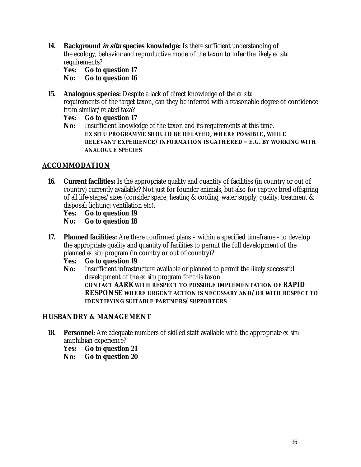**14. Background in situ species knowledge:** Is there sufficient understanding of the ecology, behavior and reproductive mode of the taxon to infer the likely *ex situ*  requirements?

**Yes: Go to question 17 No: Go to question 16** 

- **15. Analogous species:** Despite a lack of direct knowledge of the *ex situ* requirements of the target taxon, can they be inferred with a reasonable degree of confidence from similar/related taxa?
	- **Yes: Go to question 17**
	- **No:** Insufficient knowledge of the taxon and its requirements at this time. **EX SITU PROGRAMME SHOULD BE DELAYED, WHERE POSSIBLE, WHILE RELEVANT EXPERIENCE/INFORMATION IS GATHERED – E.G. BY WORKING WITH ANALOGUE SPECIES**

# **ACCOMMODATION**

- **16.** Current facilities: Is the appropriate quality and quantity of facilities (in country or out of country) currently available? Not just for founder animals, but also for captive bred offspring of all life-stages/sizes (consider space; heating & cooling; water supply, quality, treatment & disposal; lighting; ventilation etc).
	- **Yes: Go to question 19**
	- **No: Go to question 18**
- **17. Planned facilities:** Are there confirmed plans within a specified timeframe to develop the appropriate quality and quantity of facilities to permit the full development of the planned *ex situ* program (in country or out of country)?
	- **Yes: Go to question 19**
	- **No:** Insufficient infrastructure available or planned to permit the likely successful development of the *ex situ* program for this taxon. **CONTACT AARK WITH RESPECT TO POSSIBLE IMPLEMENTATION OF RAPID RESPONSE WHERE URGENT ACTION IS NECESSARY AND/OR WITH RESPECT TO IDENTIFYING SUITABLE PARTNERS/SUPPORTERS**

# **HUSBANDRY & MANAGEMENT**

- **18. Personnel**: Are adequate numbers of skilled staff available with the appropriate *ex situ* amphibian experience?
	- **Yes: Go to question 21**
	- **No: Go to question 20**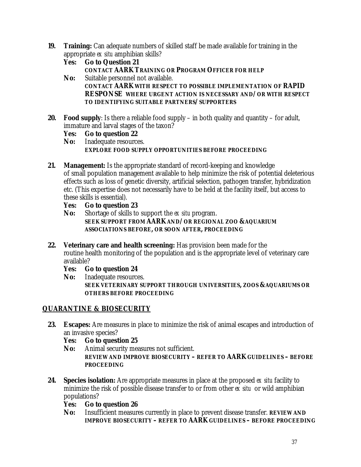- **19.** Training: Can adequate numbers of skilled staff be made available for training in the appropriate *ex situ* amphibian skills?
	- **Yes: Go to Question 21 CONTACT AARK TRAINING OR PROGRAM OFFICER FOR HELP**
	- **No:** Suitable personnel not available. **CONTACT AARK WITH RESPECT TO POSSIBLE IMPLEMENTATION OF RAPID RESPONSE WHERE URGENT ACTION IS NECESSARY AND/OR WITH RESPECT TO IDENTIFYING SUITABLE PARTNERS/SUPPORTERS**
- **20. Food supply**: Is there a reliable food supply in both quality and quantity for adult, immature and larval stages of the taxon?

# **Yes: Go to question 22**

- **No:** Inadequate resources. **EXPLORE FOOD SUPPLY OPPORTUNITIES BEFORE PROCEEDING**
- **21. Management:** Is the appropriate standard of record-keeping and knowledge of small population management available to help minimize the risk of potential deleterious effects such as loss of genetic diversity, artificial selection, pathogen transfer, hybridization etc. (This expertise does not necessarily have to be held at the facility itself, but access to these skills is essential).

# **Yes: Go to question 23**

- **No:** Shortage of skills to support the *ex situ* program. **SEEK SUPPORT FROM AARK AND/OR REGIONAL ZOO &AQUARIUM ASSOCIATIONS BEFORE, OR SOON AFTER, PROCEEDING**
- **22. Veterinary care and health screening:** Has provision been made for the routine health monitoring of the population and is the appropriate level of veterinary care available?
	- **Yes: Go to question 24**
	- **No:** Inadequate resources. **SEEK VETERINARY SUPPORT THROUGH UNIVERSITIES, ZOOS &AQUARIUMS OR OTHERS BEFORE PROCEEDING**

# **QUARANTINE & BIOSECURITY**

- **23. Escapes:** Are measures in place to minimize the risk of animal escapes and introduction of an invasive species?
	- **Yes: Go to question 25**
	- No: Animal security measures not sufficient. **REVIEW AND IMPROVE BIOSECURITY – REFER TO AARK GUIDELINES – BEFORE PROCEEDING**
- **24. Species isolation:** Are appropriate measures in place at the proposed *ex situ* facility to minimize the risk of possible disease transfer to or from other *ex situ* or wild amphibian populations?

# **Yes: Go to question 26**

**No:** Insufficient measures currently in place to prevent disease transfer. **REVIEW AND IMPROVE BIOSECURITY – REFER TO AARK GUIDELINES – BEFORE PROCEEDING**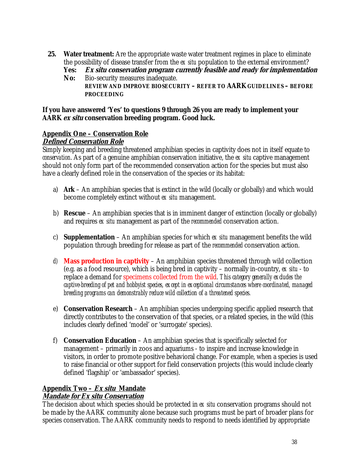**25. Water treatment:** Are the appropriate waste water treatment regimes in place to eliminate the possibility of disease transfer from the *ex situ* population to the external environment?

**Yes: Ex situ conservation program currently feasible and ready for implementation**

**No:** Bio-security measures inadequate. **REVIEW AND IMPROVE BIOSECURITY – REFER TO AARK GUIDELINES – BEFORE PROCEEDING** 

### **If you have answered 'Yes' to questions 9 through 26 you are ready to implement your AARK ex situ conservation breeding program. Good luck.**

#### **Appendix One – Conservation Role Defined Conservation Role**

Simply keeping and breeding threatened amphibian species in captivity does not in itself equate to *conservation*. As part of a genuine amphibian conservation initiative, the *ex situ* captive management should not only form part of the recommended conservation action for the species but must also have a clearly defined role in the conservation of the species or its habitat:

- a) **Ark** An amphibian species that is extinct in the wild (locally or globally) and which would become completely extinct without *ex situ* management.
- b) **Rescue** An amphibian species that is in imminent danger of extinction (locally or globally) and requires *ex situ* management as part of the *recommended* conservation action.
- c) **Supplementation** An amphibian species for which *ex situ* management benefits the wild population through breeding for release as part of the *recommended* conservation action.
- *d)* **Mass production in captivity**  An amphibian species threatened through wild collection (e.g. as a food resource), which is being bred in captivity – normally in-country, *ex situ* - to replace a demand for specimens collected from the wild. *This category generally excludes the captive-breeding of pet and hobbyist species, except in exceptional circumstances where coordinated, managed breeding programs can demonstrably reduce wild collection of a threatened species.*
- e) **Conservation Research**  An amphibian species undergoing specific applied research that directly contributes to the conservation of that species, or a related species, in the wild (this includes clearly defined 'model' or 'surrogate' species).
- f) **Conservation Education** An amphibian species that is specifically selected for management – primarily in zoos and aquariums - to inspire and increase knowledge in visitors, in order to promote positive behavioral change. For example, when a species is used to raise financial or other support for field conservation projects (this would include clearly defined 'flagship' or 'ambassador' species).

### **Appendix Two – Ex situ Mandate Mandate for Ex situ Conservation**

The decision about which species should be protected in *ex situ* conservation programs should not be made by the AARK community alone because such programs must be part of broader plans for species conservation. The AARK community needs to respond to needs identified by appropriate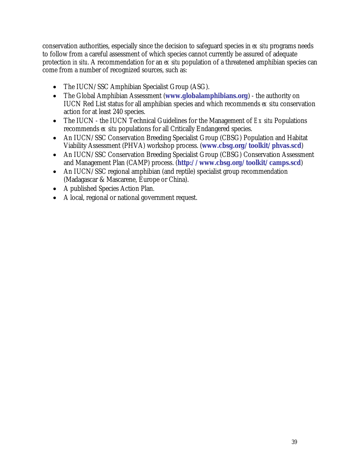conservation authorities, especially since the decision to safeguard species in *ex situ* programs needs to follow from a careful assessment of which species cannot currently be assured of adequate protection *in situ*. A recommendation for an *ex situ* population of a threatened amphibian species can come from a number of recognized sources, such as:

- The IUCN/SSC Amphibian Specialist Group (ASG).
- The Global Amphibian Assessment (**[www.globalamphibians.org](http://www.globalamphibians.org/)**) the authority on IUCN Red List status for all amphibian species and which recommends *ex si*tu conservation action for at least 240 species.
- The IUCN the IUCN Technical Guidelines for the Management of *Ex situ* Populations recommends *ex situ* populations for all Critically Endangered species.
- An IUCN/SSC Conservation Breeding Specialist Group (CBSG) Population and Habitat Viability Assessment (PHVA) workshop process. (**[www.cbsg.org/toolkit/phvas.scd](http://www.cbsg.org/toolkit/phvas.scd)**)
- An IUCN/SSC Conservation Breeding Specialist Group (CBSG) Conservation Assessment and Management Plan (CAMP) process. (**<http://www.cbsg.org/toolkit/camps.scd>**)
- An IUCN/SSC regional amphibian (and reptile) specialist group recommendation (Madagascar & Mascarene, Europe or China).
- A published Species Action Plan.
- A local, regional or national government request.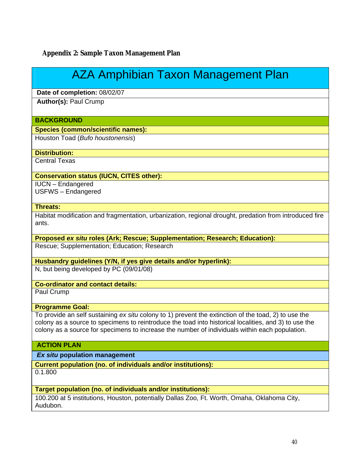<span id="page-39-0"></span>

| AZA Amphibian Taxon Management Plan |  |
|-------------------------------------|--|
|-------------------------------------|--|

 **Date of completion:** 08/02/07

 **Author(s):** Paul Crump

#### **BACKGROUND**

#### **Species (common/scientific names):**

Houston Toad (*Bufo houstonensis*)

#### **Distribution:**

Central Texas

#### **Conservation status (IUCN, CITES other):**

IUCN – Endangered USFWS – Endangered

#### **Threats:**

Habitat modification and fragmentation, urbanization, regional drought, predation from introduced fire ants.

**Proposed** *ex situ* **roles (Ark; Rescue; Supplementation; Research; Education):**

Rescue; Supplementation; Education; Research

**Husbandry guidelines (Y/N, if yes give details and/or hyperlink):**

N, but being developed by PC (09/01/08)

#### **Co-ordinator and contact details:**

Paul Crump

#### **Programme Goal:**

To provide an self sustaining *ex situ* colony to 1) prevent the extinction of the toad, 2) to use the colony as a source to specimens to reintroduce the toad into historical localities, and 3) to use the colony as a source for specimens to increase the number of individuals within each population.

### **ACTION PLAN**

*Ex situ* **population management** 

**Current population (no. of individuals and/or institutions):**

0.1.800

#### **Target population (no. of individuals and/or institutions):**

100.200 at 5 institutions, Houston, potentially Dallas Zoo, Ft. Worth, Omaha, Oklahoma City, Audubon.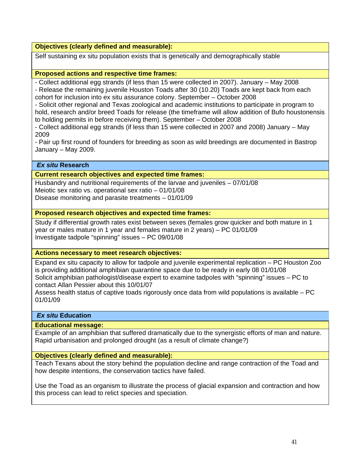#### **Objectives (clearly defined and measurable):**

Self sustaining ex situ population exists that is genetically and demographically stable

#### **Proposed actions and respective time frames:**

- Collect additional egg strands (if less than 15 were collected in 2007). January – May 2008

- Release the remaining juvenile Houston Toads after 30 (10.20) Toads are kept back from each cohort for inclusion into ex situ assurance colony. September – October 2008

- Solicit other regional and Texas zoological and academic institutions to participate in program to hold, research and/or breed Toads for release (the timeframe will allow addition of Bufo houstonensis to holding permits in before receiving them). September – October 2008

- Collect additional egg strands (if less than 15 were collected in 2007 and 2008) January – May 2009

- Pair up first round of founders for breeding as soon as wild breedings are documented in Bastrop January – May 2009.

### *Ex situ* **Research**

#### **Current research objectives and expected time frames:**

Husbandry and nutritional requirements of the larvae and juveniles – 07/01/08 Meiotic sex ratio vs. operational sex ratio – 01/01/08 Disease monitoring and parasite treatments – 01/01/09

#### **Proposed research objectives and expected time frames:**

Study if differential growth rates exist between sexes (females grow quicker and both mature in 1 year or males mature in 1 year and females mature in 2 years) – PC 01/01/09 Investigate tadpole "spinning" issues – PC 09/01/08

#### **Actions necessary to meet research objectives:**

Expand ex situ capacity to allow for tadpole and juvenile experimental replication – PC Houston Zoo is providing additional amphibian quarantine space due to be ready in early 08 01/01/08 Solicit amphibian pathologist/disease expert to examine tadpoles with "spinning" issues – PC to contact Allan Pessier about this 10/01/07

Assess health status of captive toads rigorously once data from wild populations is available – PC 01/01/09

#### *Ex situ* **Education**

**Educational message:** 

Example of an amphibian that suffered dramatically due to the synergistic efforts of man and nature. Rapid urbanisation and prolonged drought (as a result of climate change?)

**Objectives (clearly defined and measurable):** 

Teach Texans about the story behind the population decline and range contraction of the Toad and how despite intentions, the conservation tactics have failed.

Use the Toad as an organism to illustrate the process of glacial expansion and contraction and how this process can lead to relict species and speciation.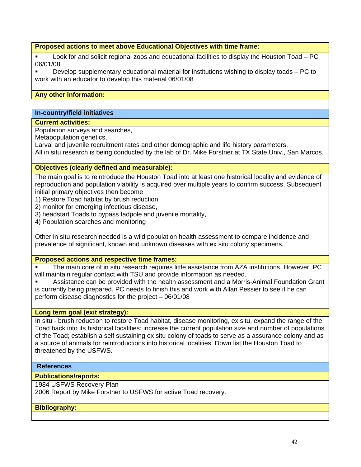### **Proposed actions to meet above Educational Objectives with time frame:**

**Look for and solicit regional zoos and educational facilities to display the Houston Toad – PC** 06/01/08

 Develop supplementary educational material for institutions wishing to display toads – PC to work with an educator to develop this material 06/01/08

#### **Any other information:**

#### **In-country/field initiatives**

#### **Current activities:**

Population surveys and searches,

Metapopulation genetics,

Larval and juvenile recruitment rates and other demographic and life history parameters, All in situ research is being conducted by the lab of Dr. Mike Forstner at TX State Univ., San Marcos.

#### **Objectives (clearly defined and measurable):**

The main goal is to reintroduce the Houston Toad into at least one historical locality and evidence of reproduction and population viability is acquired over multiple years to confirm success. Subsequent initial primary objectives then become

1) Restore Toad habitat by brush reduction,

- 2) monitor for emerging infectious disease,
- 3) headstart Toads to bypass tadpole and juvenile mortality,

4) Population searches and monitoring

Other in situ research needed is a wild population health assessment to compare incidence and prevalence of significant, known and unknown diseases with ex situ colony specimens.

#### **Proposed actions and respective time frames:**

 The main core of in situ research requires little assistance from AZA institutions. However, PC will maintain regular contact with TSU and provide information as needed.

 Assistance can be provided with the health assessment and a Morris-Animal Foundation Grant is currently being prepared. PC needs to finish this and work with Allan Pessier to see if he can perform disease diagnostics for the project – 06/01/08

#### **Long term goal (exit strategy):**

In situ - brush reduction to restore Toad habitat, disease monitoring, ex situ, expand the range of the Toad back into its historical localities; increase the current population size and number of populations of the Toad; establish a self sustaining ex situ colony of toads to serve as a assurance colony and as a source of animals for reintroductions into historical localities. Down list the Houston Toad to threatened by the USFWS.

### **References**

#### **Publications/reports:**

1984 USFWS Recovery Plan

2006 Report by Mike Forstner to USFWS for active Toad recovery.

#### **Bibliography:**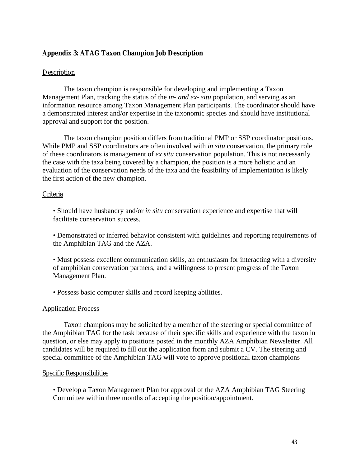### <span id="page-42-0"></span>**Appendix 3: ATAG Taxon Champion Job Description**

#### Description

The taxon champion is responsible for developing and implementing a Taxon Management Plan, tracking the status of the *in- and ex- situ* population, and serving as an information resource among Taxon Management Plan participants. The coordinator should have a demonstrated interest and/or expertise in the taxonomic species and should have institutional approval and support for the position.

 The taxon champion position differs from traditional PMP or SSP coordinator positions. While PMP and SSP coordinators are often involved with *in situ* conservation, the primary role of these coordinators is management of *ex situ* conservation population. This is not necessarily the case with the taxa being covered by a champion, the position is a more holistic and an evaluation of the conservation needs of the taxa and the feasibility of implementation is likely the first action of the new champion.

#### Criteria

• Should have husbandry and/or *in situ* conservation experience and expertise that will facilitate conservation success.

• Demonstrated or inferred behavior consistent with guidelines and reporting requirements of the Amphibian TAG and the AZA.

• Must possess excellent communication skills, an enthusiasm for interacting with a diversity of amphibian conservation partners, and a willingness to present progress of the Taxon Management Plan.

• Possess basic computer skills and record keeping abilities.

#### Application Process

Taxon champions may be solicited by a member of the steering or special committee of the Amphibian TAG for the task because of their specific skills and experience with the taxon in question, or else may apply to positions posted in the monthly AZA Amphibian Newsletter. All candidates will be required to fill out the application form and submit a CV. The steering and special committee of the Amphibian TAG will vote to approve positional taxon champions

#### Specific Responsibilities

• Develop a Taxon Management Plan for approval of the AZA Amphibian TAG Steering Committee within three months of accepting the position/appointment.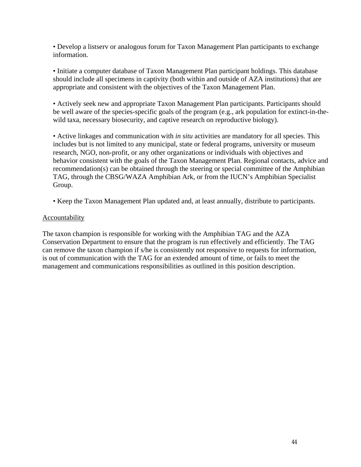<span id="page-43-0"></span>• Develop a listserv or analogous forum for Taxon Management Plan participants to exchange information.

• Initiate a computer database of Taxon Management Plan participant holdings. This database should include all specimens in captivity (both within and outside of AZA institutions) that are appropriate and consistent with the objectives of the Taxon Management Plan.

• Actively seek new and appropriate Taxon Management Plan participants. Participants should be well aware of the species-specific goals of the program (e.g., ark population for extinct-in-thewild taxa, necessary biosecurity, and captive research on reproductive biology).

• Active linkages and communication with *in situ* activities are mandatory for all species. This includes but is not limited to any municipal, state or federal programs, university or museum research, NGO, non-profit, or any other organizations or individuals with objectives and behavior consistent with the goals of the Taxon Management Plan. Regional contacts, advice and recommendation(s) can be obtained through the steering or special committee of the Amphibian TAG, through the CBSG/WAZA Amphibian Ark, or from the IUCN's Amphibian Specialist Group.

• Keep the Taxon Management Plan updated and, at least annually, distribute to participants.

### Accountability

The taxon champion is responsible for working with the Amphibian TAG and the AZA Conservation Department to ensure that the program is run effectively and efficiently. The TAG can remove the taxon champion if s/he is consistently not responsive to requests for information, is out of communication with the TAG for an extended amount of time, or fails to meet the management and communications responsibilities as outlined in this position description.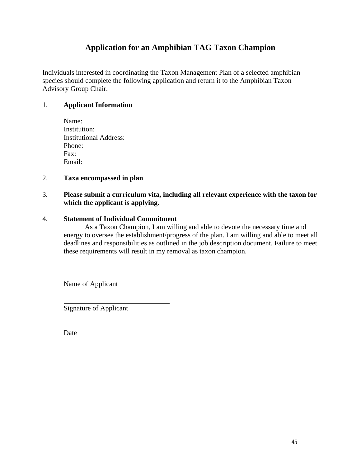# **Application for an Amphibian TAG Taxon Champion**

Individuals interested in coordinating the Taxon Management Plan of a selected amphibian species should complete the following application and return it to the Amphibian Taxon Advisory Group Chair.

### 1. **Applicant Information**

| Name:                         |
|-------------------------------|
| Institution:                  |
| <b>Institutional Address:</b> |
| Phone:                        |
| Fax:                          |
| Email:                        |

### 2. **Taxa encompassed in plan**

### 3. **Please submit a curriculum vita, including all relevant experience with the taxon for which the applicant is applying.**

### 4. **Statement of Individual Commitment**

 As a Taxon Champion, I am willing and able to devote the necessary time and energy to oversee the establishment/progress of the plan. I am willing and able to meet all deadlines and responsibilities as outlined in the job description document. Failure to meet these requirements will result in my removal as taxon champion.

Name of Applicant

Signature of Applicant

Date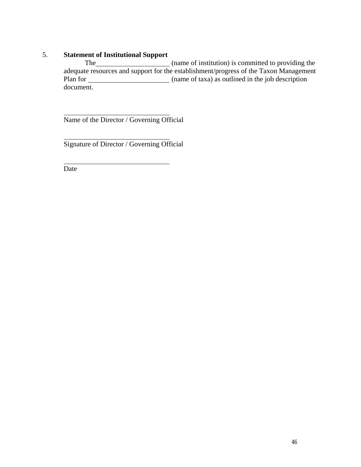### 5. **Statement of Institutional Support**

The (name of institution) is committed to providing the adequate resources and support for the establishment/progress of the Taxon Management Plan for <u>Community Community (name</u> of taxa) as outlined in the job description document.

Name of the Director / Governing Official

Signature of Director / Governing Official

Date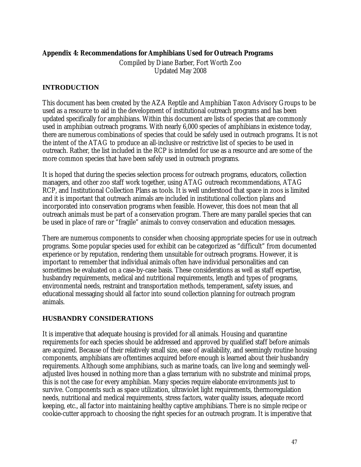## <span id="page-46-0"></span>**Appendix 4: Recommendations for Amphibians Used for Outreach Programs**

Compiled by Diane Barber, Fort Worth Zoo Updated May 2008

## **INTRODUCTION**

This document has been created by the AZA Reptile and Amphibian Taxon Advisory Groups to be used as a resource to aid in the development of institutional outreach programs and has been updated specifically for amphibians. Within this document are lists of species that are commonly used in amphibian outreach programs. With nearly 6,000 species of amphibians in existence today, there are numerous combinations of species that could be safely used in outreach programs. It is not the intent of the ATAG to produce an all-inclusive or restrictive list of species to be used in outreach. Rather, the list included in the RCP is intended for use as a resource and are some of the more common species that have been safely used in outreach programs.

It is hoped that during the species selection process for outreach programs, educators, collection managers, and other zoo staff work together, using ATAG outreach recommendations, ATAG RCP, and Institutional Collection Plans as tools. It is well understood that space in zoos is limited and it is important that outreach animals are included in institutional collection plans and incorporated into conservation programs when feasible. However, this does not mean that all outreach animals must be part of a conservation program. There are many parallel species that can be used in place of rare or "fragile" animals to convey conservation and education messages.

There are numerous components to consider when choosing appropriate species for use in outreach programs. Some popular species used for exhibit can be categorized as "difficult" from documented experience or by reputation, rendering them unsuitable for outreach programs. However, it is important to remember that individual animals often have individual personalities and can sometimes be evaluated on a case-by-case basis. These considerations as well as staff expertise, husbandry requirements, medical and nutritional requirements, length and types of programs, environmental needs, restraint and transportation methods, temperament, safety issues, and educational messaging should all factor into sound collection planning for outreach program animals.

### **HUSBANDRY CONSIDERATIONS**

It is imperative that adequate housing is provided for all animals. Housing and quarantine requirements for each species should be addressed and approved by qualified staff before animals are acquired. Because of their relatively small size, ease of availability, and seemingly routine housing components, amphibians are oftentimes acquired before enough is learned about their husbandry requirements. Although some amphibians, such as marine toads, can live long and seemingly welladjusted lives housed in nothing more than a glass terrarium with no substrate and minimal props, this is not the case for every amphibian. Many species require elaborate environments just to survive. Components such as space utilization, ultraviolet light requirements, thermoregulation needs, nutritional and medical requirements, stress factors, water quality issues, adequate record keeping, etc., all factor into maintaining healthy captive amphibians. There is no simple recipe or cookie-cutter approach to choosing the right species for an outreach program. It is imperative that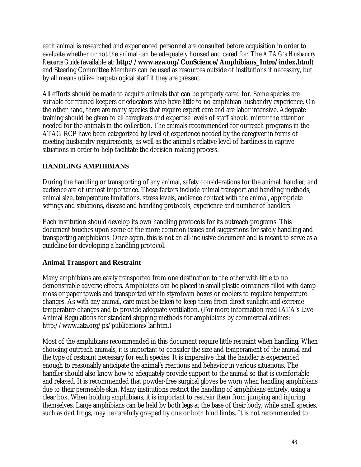each animal is researched and experienced personnel are consulted before acquisition in order to evaluate whether or not the animal can be adequately housed and cared for. The *ATAG's Husbandry Resource Guide* (available at: **[http://www.aza.org/ConScience/Amphibians\\_Intro/index.html](http://www.aza.org/ConScience/Amphibians_Intro/index.html)**) and Steering Committee Members can be used as resources outside of institutions if necessary, but by all means utilize herpetological staff if they are present.

All efforts should be made to acquire animals that can be properly cared for. Some species are suitable for trained keepers or educators who have little to no amphibian husbandry experience. On the other hand, there are many species that require expert care and are labor intensive. Adequate training should be given to all caregivers and expertise levels of staff should mirror the attention needed for the animals in the collection. The animals recommended for outreach programs in the ATAG RCP have been categorized by level of experience needed by the caregiver in terms of meeting husbandry requirements, as well as the animal's relative level of hardiness in captive situations in order to help facilitate the decision-making process.

# **HANDLING AMPHIBIANS**

During the handling or transporting of any animal, safety considerations for the animal, handler, and audience are of utmost importance. These factors include animal transport and handling methods, animal size, temperature limitations, stress levels, audience contact with the animal, appropriate settings and situations, disease and handling protocols, experience and number of handlers.

Each institution should develop its own handling protocols for its outreach programs. This document touches upon some of the more common issues and suggestions for safely handling and transporting amphibians. Once again, this is not an all-inclusive document and is meant to serve as a guideline for developing a handling protocol.

### **Animal Transport and Restraint**

Many amphibians are easily transported from one destination to the other with little to no demonstrable adverse effects. Amphibians can be placed in small plastic containers filled with damp moss or paper towels and transported within styrofoam boxes or coolers to regulate temperature changes. As with any animal, care must be taken to keep them from direct sunlight and extreme temperature changes and to provide adequate ventilation. (For more information read IATA's Live Animal Regulations for standard shipping methods for amphibians by commercial airlines: http://www.iata.org/ps/publications/lar.htm.)

Most of the amphibians recommended in this document require little restraint when handling. When choosing outreach animals, it is important to consider the size and temperament of the animal and the type of restraint necessary for each species. It is imperative that the handler is experienced enough to reasonably anticipate the animal's reactions and behavior in various situations. The handler should also know how to adequately provide support to the animal so that is comfortable and relaxed. It is recommended that powder-free surgical gloves be worn when handling amphibians due to their permeable skin. Many institutions restrict the handling of amphibians entirely, using a clear box. When holding amphibians, it is important to restrain them from jumping and injuring themselves. Large amphibians can be held by both legs at the base of their body, while small species, such as dart frogs, may be carefully grasped by one or both hind limbs. It is not recommended to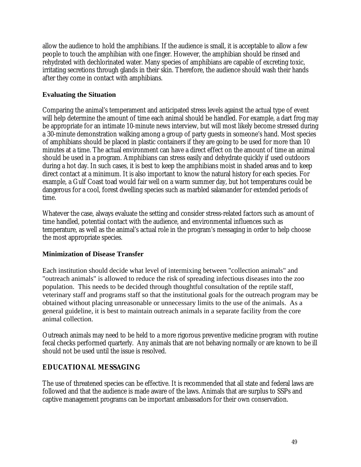allow the audience to hold the amphibians. If the audience is small, it is acceptable to allow a few people to touch the amphibian with one finger. However, the amphibian should be rinsed and rehydrated with dechlorinated water. Many species of amphibians are capable of excreting toxic, irritating secretions through glands in their skin. Therefore, the audience should wash their hands after they come in contact with amphibians.

## **Evaluating the Situation**

Comparing the animal's temperament and anticipated stress levels against the actual type of event will help determine the amount of time each animal should be handled. For example, a dart frog may be appropriate for an intimate 10-minute news interview, but will most likely become stressed during a 30-minute demonstration walking among a group of party guests in someone's hand. Most species of amphibians should be placed in plastic containers if they are going to be used for more than 10 minutes at a time. The actual environment can have a direct effect on the amount of time an animal should be used in a program. Amphibians can stress easily and dehydrate quickly if used outdoors during a hot day. In such cases, it is best to keep the amphibians moist in shaded areas and to keep direct contact at a minimum. It is also important to know the natural history for each species. For example, a Gulf Coast toad would fair well on a warm summer day, but hot temperatures could be dangerous for a cool, forest dwelling species such as marbled salamander for extended periods of time.

Whatever the case, always evaluate the setting and consider stress-related factors such as amount of time handled, potential contact with the audience, and environmental influences such as temperature, as well as the animal's actual role in the program's messaging in order to help choose the most appropriate species.

### **Minimization of Disease Transfer**

Each institution should decide what level of intermixing between "collection animals" and "outreach animals" is allowed to reduce the risk of spreading infectious diseases into the zoo population. This needs to be decided through thoughtful consultation of the reptile staff, veterinary staff and programs staff so that the institutional goals for the outreach program may be obtained without placing unreasonable or unnecessary limits to the use of the animals. As a general guideline, it is best to maintain outreach animals in a separate facility from the core animal collection.

Outreach animals may need to be held to a more rigorous preventive medicine program with routine fecal checks performed quarterly. Any animals that are not behaving normally or are known to be ill should not be used until the issue is resolved.

# **EDUCATIONAL MESSAGING**

The use of threatened species can be effective. It is recommended that all state and federal laws are followed and that the audience is made aware of the laws. Animals that are surplus to SSPs and captive management programs can be important ambassadors for their own conservation.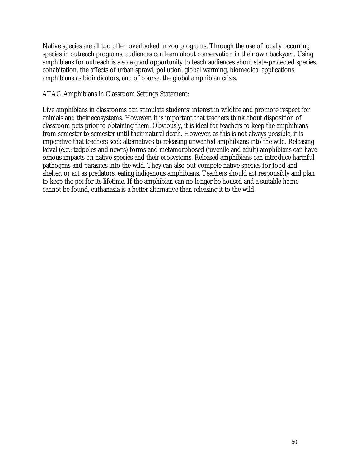Native species are all too often overlooked in zoo programs. Through the use of locally occurring species in outreach programs, audiences can learn about conservation in their own backyard. Using amphibians for outreach is also a good opportunity to teach audiences about state-protected species, cohabitation, the affects of urban sprawl, pollution, global warming, biomedical applications, amphibians as bioindicators, and of course, the global amphibian crisis.

### ATAG Amphibians in Classroom Settings Statement:

Live amphibians in classrooms can stimulate students' interest in wildlife and promote respect for animals and their ecosystems. However, it is important that teachers think about disposition of classroom pets prior to obtaining them. Obviously, it is ideal for teachers to keep the amphibians from semester to semester until their natural death. However, as this is not always possible, it is imperative that teachers seek alternatives to releasing unwanted amphibians into the wild. Releasing larval (e.g.: tadpoles and newts) forms and metamorphosed (juvenile and adult) amphibians can have serious impacts on native species and their ecosystems. Released amphibians can introduce harmful pathogens and parasites into the wild. They can also out-compete native species for food and shelter, or act as predators, eating indigenous amphibians. Teachers should act responsibly and plan to keep the pet for its lifetime. If the amphibian can no longer be housed and a suitable home cannot be found, euthanasia is a better alternative than releasing it to the wild.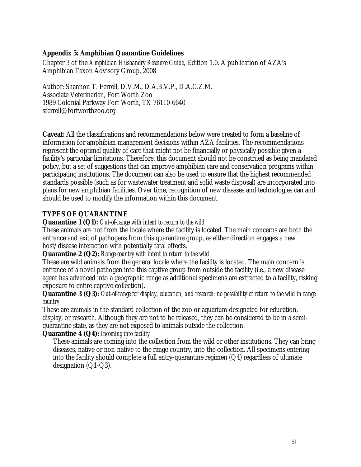## <span id="page-50-0"></span>**Appendix 5: Amphibian Quarantine Guidelines**

Chapter 3 of the *Amphibian Husbandry Resource Guide*, Edition 1.0. A publication of AZA's Amphibian Taxon Advisory Group, 2008

Author: Shannon T. Ferrell, D.V.M., D.A.B.V.P., D.A.C.Z.M. Associate Veterinarian, Fort Worth Zoo 1989 Colonial Parkway Fort Worth, TX 76110-6640 sferrell@fortworthzoo.org

**Caveat:** All the classifications and recommendations below were created to form a baseline of information for amphibian management decisions within AZA facilities. The recommendations represent the optimal quality of care that might not be financially or physically possible given a facility's particular limitations. Therefore, this document should not be construed as being mandated policy, but a set of suggestions that can improve amphibian care and conservation programs within participating institutions. The document can also be used to ensure that the highest recommended standards possible (such as for wastewater treatment and solid waste disposal) are incorporated into plans for new amphibian facilities. Over time, recognition of new diseases and technologies can and should be used to modify the information within this document.

# **TYPES OF QUARANTINE**

### **Quarantine 1 (Q1):** *Out-of-range with intent to return to the wild*

These animals are not from the locale where the facility is located. The main concerns are both the entrance and exit of pathogens from this quarantine group, as either direction engages a new host/disease interaction with potentially fatal effects.

#### **Quarantine 2 (Q2):** *Range country with intent to return to the wild*

These are wild animals from the general locale where the facility is located. The main concern is entrance of a novel pathogen into this captive group from outside the facility (i.e., a new disease agent has advanced into a geographic range as additional specimens are extracted to a facility, risking exposure to entire captive collection).

### **Quarantine 3 (Q3):** *Out-of-range for display, education, and research; no possibility of return to the wild in range country*

These are animals in the standard collection of the zoo or aquarium designated for education, display, or research. Although they are not to be released, they can be considered to be in a semiquarantine state, as they are not exposed to animals outside the collection.

### **Quarantine 4 (Q4):** *Incoming into facility*

These animals are coming into the collection from the wild or other institutions. They can bring diseases, native or non-native to the range country, into the collection. All specimens entering into the facility should complete a full entry-quarantine regimen (Q4) regardless of ultimate designation (Q1-Q3).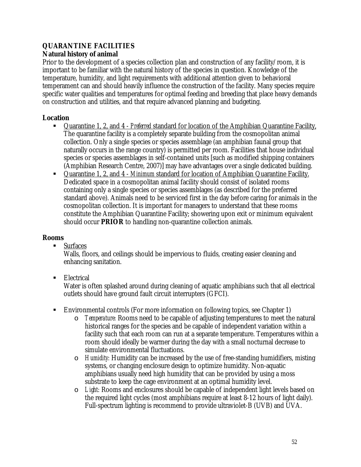# **QUARANTINE FACILITIES**

# **Natural history of animal**

Prior to the development of a species collection plan and construction of any facility/room, it is important to be familiar with the natural history of the species in question. Knowledge of the temperature, humidity, and light requirements with additional attention given to behavioral temperament can and should heavily influence the construction of the facility. Many species require specific water qualities and temperatures for optimal feeding and breeding that place heavy demands on construction and utilities, and that require advanced planning and budgeting.

# **Location**

- Quarantine 1, 2, and 4 *Preferred* standard for location of the Amphibian Quarantine Facility, The quarantine facility is a completely separate building from the cosmopolitan animal collection. Only a single species or species assemblage (an amphibian faunal group that naturally occurs in the range country) is permitted per room. Facilities that house individual species or species assemblages in self-contained units [such as modified shipping containers (Amphibian Research Centre, 2007)] may have advantages over a single dedicated building.
- Quarantine 1, 2, and 4 *Minimum* standard for location of Amphibian Quarantine Facility. Dedicated space in a cosmopolitan animal facility should consist of isolated rooms containing only a single species or species assemblages (as described for the preferred standard above). Animals need to be serviced first in the day before caring for animals in the cosmopolitan collection. It is important for managers to understand that these rooms constitute the Amphibian Quarantine Facility; showering upon exit or minimum equivalent should occur **PRIOR** to handling non-quarantine collection animals.

## **Rooms**

**Surfaces** 

Walls, floors, and ceilings should be impervious to fluids, creating easier cleaning and enhancing sanitation.

**Electrical** 

Water is often splashed around during cleaning of aquatic amphibians such that all electrical outlets should have ground fault circuit interrupters (GFCI).

- Environmental controls (For more information on following topics, see Chapter 1)
	- o *Temperature:* Rooms need to be capable of adjusting temperatures to meet the natural historical ranges for the species and be capable of independent variation within a facility such that each room can run at a separate temperature. Temperatures within a room should ideally be warmer during the day with a small nocturnal decrease to simulate environmental fluctuations.
	- o *Humidity:* Humidity can be increased by the use of free-standing humidifiers, misting systems, or changing enclosure design to optimize humidity. Non-aquatic amphibians usually need high humidity that can be provided by using a moss substrate to keep the cage environment at an optimal humidity level.
	- o *Light:* Rooms and enclosures should be capable of independent light levels based on the required light cycles (most amphibians require at least 8-12 hours of light daily). Full-spectrum lighting is recommend to provide ultraviolet-B (UVB) and UVA.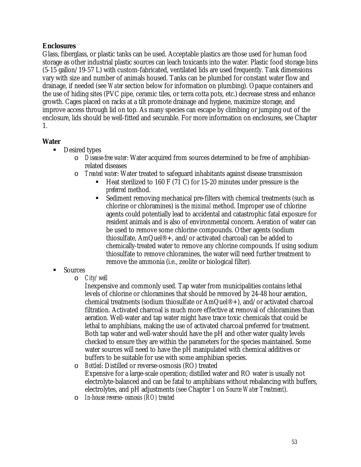# **Enclosures**

Glass, fiberglass, or plastic tanks can be used. Acceptable plastics are those used for human food storage as other industrial plastic sources can leach toxicants into the water. Plastic food storage bins (5-15 gallon/19-57 L) with custom-fabricated, ventilated lids are used frequently. Tank dimensions vary with size and number of animals housed. Tanks can be plumbed for constant water flow and drainage, if needed (see *Water* section below for information on plumbing). Opaque containers and the use of hiding sites (PVC pipe, ceramic tiles, or terra cotta pots, etc.) decrease stress and enhance growth. Cages placed on racks at a tilt promote drainage and hygiene, maximize storage, and improve access through lid on top. As many species can escape by climbing or jumping out of the enclosure, lids should be well-fitted and securable. For more information on enclosures, see Chapter 1.

# **Water**

- **Desired types** 
	- o *Disease-free water*: Water acquired from sources determined to be free of amphibianrelated diseases
	- o *Treated water*: Water treated to safeguard inhabitants against disease transmission
		- Heat sterilized to 160 F (71 C) for 15-20 minutes under pressure is the *preferred* method.
			- Sediment removing mechanical pre-filters with chemical treatments (such as chlorine or chloramines) is the *minimal* method. Improper use of chlorine agents could potentially lead to accidental and catastrophic fatal exposure for resident animals and is also of environmental concern. Aeration of water can be used to remove some chlorine compounds. Other agents (sodium thiosulfate,  $AmQuel@+$ , and/or activated charcoal) can be added to chemically-treated water to remove any chlorine compounds. If using sodium thiosulfate to remove chloramines, the water will need further treatment to remove the ammonia (i.e., zeolite or biological filter).

# Sources

o *City/well* 

Inexpensive and commonly used. Tap water from municipalities contains lethal levels of chlorine or chloramines that should be removed by 24-48 hour aeration, chemical treatments (sodium thiosulfate or AmQuel®+), and/or activated charcoal filtration. Activated charcoal is much more effective at removal of chloramines than aeration. Well-water and tap water might have trace toxic chemicals that could be lethal to amphibians, making the use of activated charcoal preferred for treatment. Both tap water and well-water should have the pH and other water quality levels checked to ensure they are within the parameters for the species maintained. Some water sources will need to have the pH manipulated with chemical additives or buffers to be suitable for use with some amphibian species.

- o *Bottled*: Distilled or reverse-osmosis (RO) treated Expensive for a large-scale operation; distilled water and RO water is usually not electrolyte-balanced and can be fatal to amphibians without rebalancing with buffers, electrolytes, and pH adjustments (see Chapter 1 on *Source Water Treatment*).
- o *In-house reverse–osmosis (RO) treated*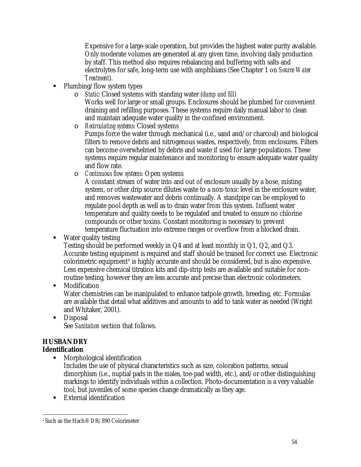Expensive for a large-scale operation, but provides the highest water purity available. Only moderate volumes are generated at any given time, involving daily production by staff. This method also requires rebalancing and buffering with salts and electrolytes for safe, long-term use with amphibians (See Chapter 1 on *Source Water Treatment*).

- Plumbing/flow system types
	- o *Static*: Closed systems with standing water (*dump and fill*) Works well for large or small groups. Enclosures should be plumbed for convenient draining and refilling purposes. These systems require daily manual labor to clean and maintain adequate water quality in the confined environment.
	- o *Recirculating systems*: Closed systems

Pumps force the water through mechanical (i.e., sand and/or charcoal) and biological filters to remove debris and nitrogenous wastes, respectively, from enclosures. Filters can become overwhelmed by debris and waste if used for large populations. These systems require regular maintenance and monitoring to ensure adequate water quality and flow rate.

o *Continuous flow systems*: Open systems

A constant stream of water into and out of enclosure usually by a hose, misting system, or other drip source dilutes waste to a non-toxic level in the enclosure water, and removes wastewater and debris continually. A standpipe can be employed to regulate pool depth as well as to drain water from this system. Influent water temperature and quality needs to be regulated and treated to ensure no chlorine compounds or other toxins. Constant monitoring is necessary to prevent temperature fluctuation into extreme ranges or overflow from a blocked drain.

Water quality testing

Testing should be performed weekly in Q4 and at least monthly in Q1, Q2, and Q3. Accurate testing equipment is required and staff should be trained for correct use. Electronic colorimetric equipment<sup>[a](#page-53-0)</sup> is highly accurate and should be considered, but is also expensive. Less expensive chemical titration kits and dip-strip tests are available and suitable for nonroutine testing, however they are less accurate and precise than electronic colorimeters.

# **Modification**

Water chemistries can be manipulated to enhance tadpole growth, breeding, etc. Formulas are available that detail what additives and amounts to add to tank water as needed (Wright and Whitaker, 2001).

**Disposal** See *Sanitation* section that follows.

# **HUSBANDRY**

# **Identification**

Morphological identification

Includes the use of physical characteristics such as size, coloration patterns, sexual dimorphism (i.e., nuptial pads in the males, toe-pad width, etc.), and/or other distinguishing markings to identify individuals within a collection. Photo-documentation is a very valuable tool, but juveniles of some species change dramatically as they age.

External identification

<span id="page-53-0"></span> $\overline{a}$ <sup>a</sup> Such as the Hach® DR/890 Colorimeter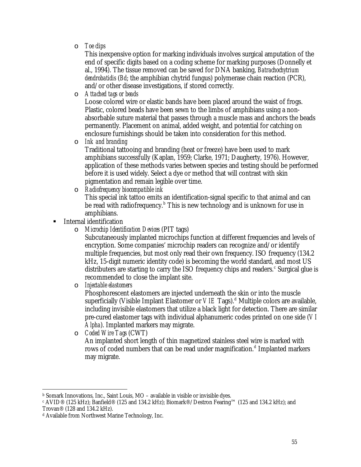o *Toe clips* 

This inexpensive option for marking individuals involves surgical amputation of the end of specific digits based on a coding scheme for marking purposes (Donnelly et al., 1994). The tissue removed can be saved for DNA banking, *Batrachochytrium dendrobatidis* (*Bd*; the amphibian chytrid fungus) polymerase chain reaction (PCR), and/or other disease investigations, if stored correctly.

o *Attached tags or beads*

Loose colored wire or elastic bands have been placed around the waist of frogs. Plastic, colored beads have been sewn to the limbs of amphibians using a nonabsorbable suture material that passes through a muscle mass and anchors the beads permanently. Placement on animal, added weight, and potential for catching on enclosure furnishings should be taken into consideration for this method.

o *Ink and branding*

Traditional tattooing and branding (heat or freeze) have been used to mark amphibians successfully (Kaplan, 1959; Clarke, 1971; Daugherty, 1976). However, application of these methods varies between species and testing should be performed before it is used widely. Select a dye or method that will contrast with skin pigmentation and remain legible over time.

o *Radiofrequency biocompatible ink* 

This special ink tattoo emits an identification-signal specific to that animal and can [b](#page-54-0)e read with radiofrequency.<sup>b</sup> This is new technology and is unknown for use in amphibians.

- **Internal identification** 
	- o *Microchip Identification Devices* (PIT tags)

Subcutaneously implanted microchips function at different frequencies and levels of encryption. Some companies' microchip readers can recognize and/or identify multiple frequencies, but most only read their own frequency. ISO frequency (134.2 kHz, 15-digit numeric identity code) is becoming the world standard, and most US distributers are starting to [c](#page-54-1)arry the ISO frequency chips and readers.<sup>c</sup> Surgical glue is recommended to close the implant site.

o *Injectable elastomers*

Phosphorescent elastomers are injected underneath the skin or into the muscle superficially (Visible Implant Elastomer or *VIE* Tags).<sup>[d](#page-54-2)</sup> Multiple colors are available, including invisible elastomers that utilize a black light for detection. There are similar pre-cured elastomer tags with individual alphanumeric codes printed on one side (*VI Alpha*). Implanted markers may migrate.

o *Coded Wire Tags* (CWT) An implanted short length of thin magnetized stainless steel wire is marked with rows of co[d](#page-54-3)ed numbers that can be read under magnification.<sup>d</sup> Implanted markers may migrate.

 $\overline{a}$ 

<span id="page-54-1"></span><span id="page-54-0"></span>b Somark Innovations, Inc., Saint Louis, MO – available in visible or invisible dyes.<br>c AVID® (125 kHz); Banfield® (125 and 134.2 kHz); Biomark®/Destron Fearing™ (125 and 134.2 kHz); and Trovan® (128 and 134.2 kHz).

<span id="page-54-3"></span><span id="page-54-2"></span>d Available from Northwest Marine Technology, Inc.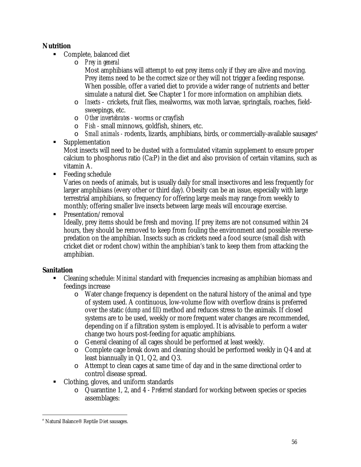# **Nutrition**

- Complete, balanced diet
	- o *Prey in general*

Most amphibians will attempt to eat prey items only if they are alive and moving. Prey items need to be the correct size or they will not trigger a feeding response. When possible, offer a varied diet to provide a wider range of nutrients and better simulate a natural diet. See Chapter 1 for more information on amphibian diets.

- o *Insects* crickets, fruit flies, mealworms, wax moth larvae, springtails, roaches, fieldsweepings, etc.
- o *Other invertebrates* worms or crayfish
- o *Fish* small minnows, goldfish, shiners, etc.
- o *Small animals* rodents, lizards, amphibians, birds, or commercially-available sausages[e](#page-55-0)
- **Supplementation**

Most insects will need to be dusted with a formulated vitamin supplement to ensure proper calcium to phosphorus ratio (Ca:P) in the diet and also provision of certain vitamins, such as vitamin A.

■ Feeding schedule

Varies on needs of animals, but is usually daily for small insectivores and less frequently for larger amphibians (every other or third day). Obesity can be an issue, especially with large terrestrial amphibians, so frequency for offering large meals may range from weekly to monthly; offering smaller live insects between large meals will encourage exercise.

Presentation/removal

Ideally, prey items should be fresh and moving. If prey items are not consumed within 24 hours, they should be removed to keep from fouling the environment and possible reversepredation on the amphibian. Insects such as crickets need a food source (small dish with cricket diet or rodent chow) within the amphibian's tank to keep them from attacking the amphibian.

# **Sanitation**

- Cleaning schedule: *Minimal* standard with frequencies increasing as amphibian biomass and feedings increase
	- o Water change frequency is dependent on the natural history of the animal and type of system used. A continuous, low-volume flow with overflow drains is preferred over the static (*dump and fill*) method and reduces stress to the animals. If closed systems are to be used, weekly or more frequent water changes are recommended, depending on if a filtration system is employed. It is advisable to perform a water change two hours post-feeding for aquatic amphibians.
	- o General cleaning of all cages should be performed at least weekly.
	- o Complete cage break down and cleaning should be performed weekly in Q4 and at least biannually in Q1, Q2, and Q3.
	- o Attempt to clean cages at same time of day and in the same directional order to control disease spread.
- Clothing, gloves, and uniform standards
	- o Quarantine 1, 2, and 4 *Preferred* standard for working between species or species assemblages:

 $\overline{a}$ 

<span id="page-55-0"></span><sup>e</sup> Natural Balance® Reptile Diet sausages.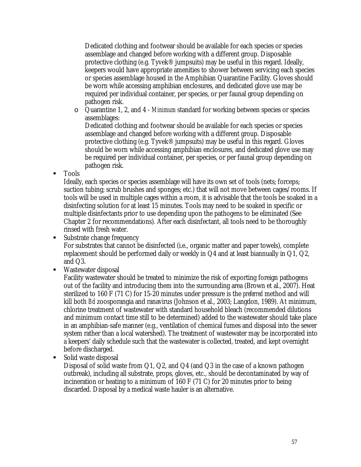Dedicated clothing and footwear should be available for each species or species assemblage and changed before working with a different group. Disposable protective clothing (e.g. Tyvek® jumpsuits) may be useful in this regard. Ideally, keepers would have appropriate amenities to shower between servicing each species or species assemblage housed in the Amphibian Quarantine Facility. Gloves should be worn while accessing amphibian enclosures, and dedicated glove use may be required per individual container, per species, or per faunal group depending on pathogen risk.

o Quarantine 1, 2, and 4 - *Minimum* standard for working between species or species assemblages:

Dedicated clothing and footwear should be available for each species or species assemblage and changed before working with a different group. Disposable protective clothing (e.g. Tyvek® jumpsuits) may be useful in this regard. Gloves should be worn while accessing amphibian enclosures, and dedicated glove use may be required per individual container, per species, or per faunal group depending on pathogen risk.

**Tools** 

Ideally, each species or species assemblage will have its own set of tools (nets; forceps; suction tubing; scrub brushes and sponges; etc.) that will not move between cages/rooms. If tools will be used in multiple cages within a room, it is advisable that the tools be soaked in a disinfecting solution for at least 15 minutes. Tools may need to be soaked in specific or multiple disinfectants prior to use depending upon the pathogens to be eliminated (See Chapter 2 for recommendations). After each disinfectant, all tools need to be thoroughly rinsed with fresh water.

Substrate change frequency

For substrates that cannot be disinfected (i.e., organic matter and paper towels), complete replacement should be performed daily or weekly in Q4 and at least biannually in Q1, Q2, and Q3.

Wastewater disposal

Facility wastewater should be treated to minimize the risk of exporting foreign pathogens out of the facility and introducing them into the surrounding area (Brown et al., 2007). Heat sterilized to 160 F (71 C) for 15-20 minutes under pressure is the *preferred* method and will kill both *Bd* zoosporangia and ranavirus (Johnson et al., 2003; Langdon, 1989). At minimum, chlorine treatment of wastewater with standard household bleach (recommended dilutions and minimum contact time still to be determined) added to the wastewater should take place in an amphibian-safe manner (e.g., ventilation of chemical fumes and disposal into the sewer system rather than a local watershed). The treatment of wastewater may be incorporated into a keepers' daily schedule such that the wastewater is collected, treated, and kept overnight before discharged.

Solid waste disposal

Disposal of solid waste from Q1, Q2, and Q4 (and Q3 in the case of a known pathogen outbreak), including all substrate, props, gloves, etc., should be decontaminated by way of incineration or heating to a minimum of 160 F (71 C) for 20 minutes prior to being discarded. Disposal by a medical waste hauler is an alternative.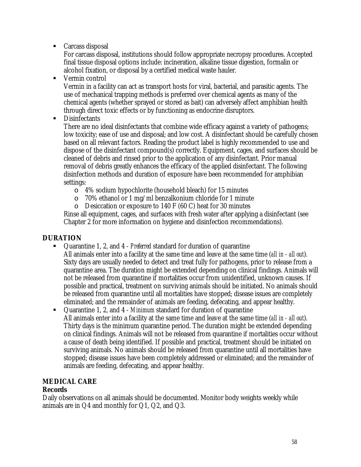Carcass disposal

For carcass disposal, institutions should follow appropriate necropsy procedures. Accepted final tissue disposal options include: incineration, alkaline tissue digestion, formalin or alcohol fixation, or disposal by a certified medical waste hauler.

■ Vermin control

Vermin in a facility can act as transport hosts for viral, bacterial, and parasitic agents. The use of mechanical trapping methods is preferred over chemical agents as many of the chemical agents (whether sprayed or stored as bait) can adversely affect amphibian health through direct toxic effects or by functioning as endocrine disruptors.

• Disinfectants

There are no ideal disinfectants that combine wide efficacy against a variety of pathogens; low toxicity; ease of use and disposal; and low cost. A disinfectant should be carefully chosen based on all relevant factors. Reading the product label is highly recommended to use and dispose of the disinfectant compound(s) correctly. Equipment, cages, and surfaces should be cleaned of debris and rinsed prior to the application of any disinfectant. Prior manual removal of debris greatly enhances the efficacy of the applied disinfectant. The following disinfection methods and duration of exposure have been recommended for amphibian settings:

- o 4% sodium hypochlorite (household bleach) for 15 minutes
- o 70% ethanol or 1 mg/ml benzalkonium chloride for 1 minute
- o Desiccation or exposure to 140 F (60 C) heat for 30 minutes

Rinse all equipment, cages, and surfaces with fresh water after applying a disinfectant (see Chapter 2 for more information on hygiene and disinfection recommendations).

# **DURATION**

- Quarantine 1, 2, and 4 *Preferred* standard for duration of quarantine
	- All animals enter into a facility at the same time and leave at the same time (*all in all out*). Sixty days are usually needed to detect and treat fully for pathogens, prior to release from a quarantine area. The duration might be extended depending on clinical findings. Animals will not be released from quarantine if mortalities occur from unidentified, unknown causes. If possible and practical, treatment on surviving animals should be initiated. No animals should be released from quarantine until all mortalities have stopped; disease issues are completely eliminated; and the remainder of animals are feeding, defecating, and appear healthy.
- Quarantine 1, 2, and 4 *Minimum* standard for duration of quarantine All animals enter into a facility at the same time and leave at the same time (*all in - all out*). Thirty days is the minimum quarantine period. The duration might be extended depending on clinical findings. Animals will not be released from quarantine if mortalities occur without a cause of death being identified. If possible and practical, treatment should be initiated on surviving animals. No animals should be released from quarantine until all mortalities have stopped; disease issues have been completely addressed or eliminated; and the remainder of animals are feeding, defecating, and appear healthy.

# **MEDICAL CARE**

# **Records**

Daily observations on all animals should be documented. Monitor body weights weekly while animals are in Q4 and monthly for Q1, Q2, and Q3.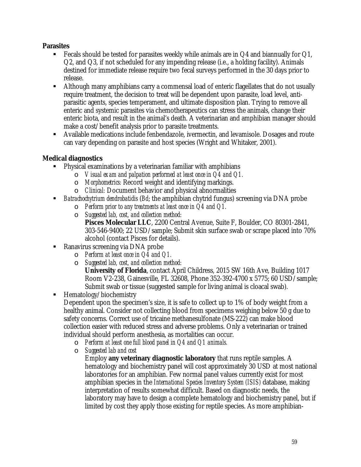# **Parasites**

- Fecals should be tested for parasites weekly while animals are in  $\mathbb{Q}4$  and biannually for  $\mathbb{Q}1$ , Q2, and Q3, if not scheduled for any impending release (i.e., a holding facility). Animals destined for immediate release require two fecal surveys performed in the 30 days prior to release.
- Although many amphibians carry a commensal load of enteric flagellates that do not usually require treatment, the decision to treat will be dependent upon parasite, load level, antiparasitic agents, species temperament, and ultimate disposition plan. Trying to remove all enteric and systemic parasites via chemotherapeutics can stress the animals, change their enteric biota, and result in the animal's death. A veterinarian and amphibian manager should make a cost/benefit analysis prior to parasite treatments.
- Available medications include fenbendazole, ivermectin, and levamisole. Dosages and route can vary depending on parasite and host species (Wright and Whitaker, 2001).

# **Medical diagnostics**

- Physical examinations by a veterinarian familiar with amphibians
	- o *Visual exam and palpation performed at least once in Q4 and Q1.*
	- o *Morphometrics:* Record weight and identifying markings.
	- o *Clinical:* Document behavior and physical abnormalities
- *Batrachochytrium dendrobatidis* (*Bd*; the amphibian chytrid fungus) screening via DNA probe
	- o *Perform prior to any treatments at least once in Q4 and Q1.*
	- o *Suggested lab, cost, and collection method:*  **Pisces Molecular LLC**, 2200 Central Avenue, Suite F, Boulder, CO 80301-2841, 303-546-9400; 22 USD/sample; Submit skin surface swab or scrape placed into 70% alcohol (contact Pisces for details).
- Ranavirus screening via DNA probe
	- o *Perform at least once in Q4 and Q1.*
	- o *Suggested lab, cost, and collection method:*

**University of Florida**, contact April Childress, 2015 SW 16th Ave, Building 1017 Room V2-238, Gainesville, FL 32608, Phone 352-392-4700 x 5775; 60 USD/sample; Submit swab or tissue (suggested sample for living animal is cloacal swab).

Hematology/biochemistry

Dependent upon the specimen's size, it is safe to collect up to 1% of body weight from a healthy animal. Consider not collecting blood from specimens weighing below 50 g due to safety concerns. Correct use of tricaine methanesulfonate (MS-222) can make blood collection easier with reduced stress and adverse problems. Only a veterinarian or trained individual should perform anesthesia, as mortalities can occur.

- o *Perform at least one full blood panel in Q4 and Q1 animals.*
- o *Suggested lab and cost*

Employ **any veterinary diagnostic laboratory** that runs reptile samples. A hematology and biochemistry panel will cost approximately 30 USD at most national laboratories for an amphibian. Few normal panel values currently exist for most amphibian species in the *International Species Inventory System (ISIS)* database, making interpretation of results somewhat difficult. Based on diagnostic needs, the laboratory may have to design a complete hematology and biochemistry panel, but if limited by cost they apply those existing for reptile species. As more amphibian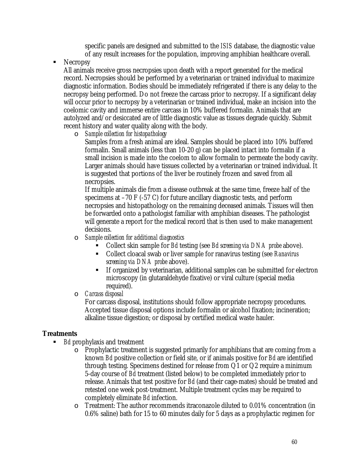specific panels are designed and submitted to the *ISIS* database, the diagnostic value of any result increases for the population, improving amphibian healthcare overall.

• Necropsy

All animals receive gross necropsies upon death with a report generated for the medical record. Necropsies should be performed by a veterinarian or trained individual to maximize diagnostic information. Bodies should be immediately refrigerated if there is any delay to the necropsy being performed. Do not freeze the carcass prior to necropsy. If a significant delay will occur prior to necropsy by a veterinarian or trained individual, make an incision into the coelomic cavity and immerse entire carcass in 10% buffered formalin. Animals that are autolyzed and/or desiccated are of little diagnostic value as tissues degrade quickly. Submit recent history and water quality along with the body.

o *Sample collection for histopathology*

Samples from a fresh animal are ideal. Samples should be placed into 10% buffered formalin. Small animals (less than 10-20 g) can be placed intact into formalin if a small incision is made into the coelom to allow formalin to permeate the body cavity. Larger animals should have tissues collected by a veterinarian or trained individual. It is suggested that portions of the liver be routinely frozen and saved from all necropsies.

If multiple animals die from a disease outbreak at the same time, freeze half of the specimens at –70 F (-57 C) for future ancillary diagnostic tests, and perform necropsies and histopathology on the remaining deceased animals. Tissues will then be forwarded onto a pathologist familiar with amphibian diseases. The pathologist will generate a report for the medical record that is then used to make management decisions.

- o *Sample collection for additional diagnostics*
	- Collect skin sample for *Bd* testing (see *Bd screening via DNA probe* above).
	- Collect cloacal swab or liver sample for ranavirus testing (see *Ranavirus screening via DNA probe* above).
	- If organized by veterinarian, additional samples can be submitted for electron microscopy (in glutaraldehyde fixative) or viral culture (special media required).

o *Carcass disposal*

For carcass disposal, institutions should follow appropriate necropsy procedures. Accepted tissue disposal options include formalin or alcohol fixation; incineration; alkaline tissue digestion; or disposal by certified medical waste hauler.

# **Treatments**

- *Bd* prophylaxis and treatment
	- o Prophylactic treatment is suggested primarily for amphibians that are coming from a known *Bd* positive collection or field site, or if animals positive for *Bd* are identified through testing. Specimens destined for release from Q1 or Q2 require a minimum 5-day course of *Bd* treatment (listed below) to be completed immediately prior to release. Animals that test positive for *Bd* (and their cage-mates) should be treated and retested one week post-treatment. Multiple treatment cycles may be required to completely eliminate *Bd* infection.
	- o Treatment: The author recommends itraconazole diluted to 0.01% concentration (in 0.6% saline) bath for 15 to 60 minutes daily for 5 days as a prophylactic regimen for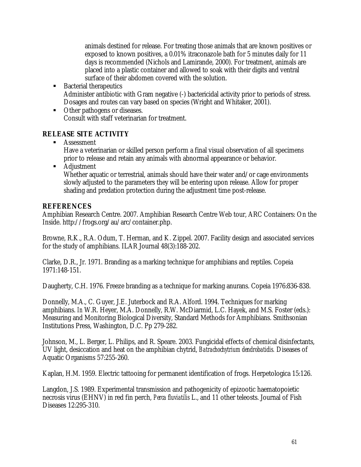animals destined for release. For treating those animals that are known positives or exposed to known positives, a 0.01% itraconazole bath for 5 minutes daily for 11 days is recommended (Nichols and Lamirande, 2000). For treatment, animals are placed into a plastic container and allowed to soak with their digits and ventral surface of their abdomen covered with the solution.

- Bacterial therapeutics Administer antibiotic with Gram negative (-) bactericidal activity prior to periods of stress. Dosages and routes can vary based on species (Wright and Whitaker, 2001).
- Other pathogens or diseases. Consult with staff veterinarian for treatment.

# **RELEASE SITE ACTIVITY**

- **Assessment** Have a veterinarian or skilled person perform a final visual observation of all specimens prior to release and retain any animals with abnormal appearance or behavior.
- **Adjustment** Whether aquatic or terrestrial, animals should have their water and/or cage environments slowly adjusted to the parameters they will be entering upon release. Allow for proper shading and predation protection during the adjustment time post-release.

### **REFERENCES**

Amphibian Research Centre. 2007. Amphibian Research Centre Web tour, ARC Containers: On the Inside. http://frogs.org/au/arc/container.php.

Browne, R.K., R.A. Odum, T. Herman, and K. Zippel. 2007. Facility design and associated services for the study of amphibians. ILAR Journal 48(3):188-202.

Clarke, D.R., Jr. 1971. Branding as a marking technique for amphibians and reptiles. Copeia 1971:148-151.

Daugherty, C.H. 1976. Freeze branding as a technique for marking anurans. Copeia 1976:836-838.

Donnelly, M.A., C. Guyer, J.E. Juterbock and R.A. Alford. 1994. Techniques for marking amphibians. *In* W.R. Heyer, M.A. Donnelly, R.W. McDiarmid, L.C. Hayek, and M.S. Foster (eds.): Measuring and Monitoring Biological Diversity, Standard Methods for Amphibians. Smithsonian Institutions Press, Washington, D.C. Pp 279-282.

Johnson, M., L. Berger, L. Philips, and R. Speare. 2003. Fungicidal effects of chemical disinfectants, UV light, desiccation and heat on the amphibian chytrid, *Batrachochytrium dendrobatidis.* Diseases of Aquatic Organisms 57:255-260.

Kaplan, H.M. 1959. Electric tattooing for permanent identification of frogs. Herpetologica 15:126.

Langdon, J.S. 1989. Experimental transmission and pathogenicity of epizootic haematopoietic necrosis virus (EHNV) in red fin perch, *Perca fluviatilis* L., and 11 other teleosts. Journal of Fish Diseases 12:295-310.